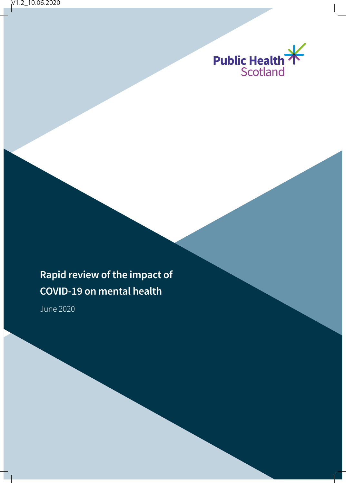

# **Rapid review of the impact of COVID-19 on mental health**

June 2020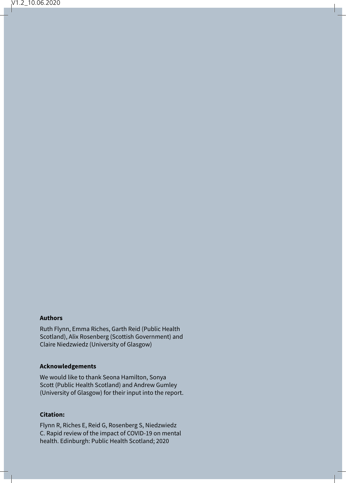#### **Authors**

Ruth Flynn, Emma Riches, Garth Reid (Public Health Scotland), Alix Rosenberg (Scottish Government) and Claire Niedzwiedz (University of Glasgow)

#### **Acknowledgements**

We would like to thank Seona Hamilton, Sonya Scott (Public Health Scotland) and Andrew Gumley (University of Glasgow) for their input into the report.

#### **Citation:**

Flynn R, Riches E, Reid G, Rosenberg S, Niedzwiedz C. Rapid review of the impact of COVID-19 on mental health. Edinburgh: Public Health Scotland; 2020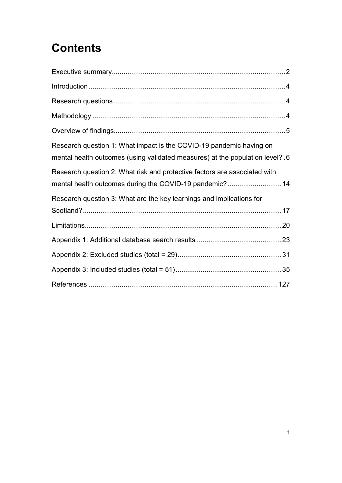# **Contents**

| Research question 1: What impact is the COVID-19 pandemic having on<br>mental health outcomes (using validated measures) at the population level? .6 |
|------------------------------------------------------------------------------------------------------------------------------------------------------|
| Research question 2: What risk and protective factors are associated with<br>mental health outcomes during the COVID-19 pandemic?14                  |
| Research question 3: What are the key learnings and implications for                                                                                 |
|                                                                                                                                                      |
|                                                                                                                                                      |
|                                                                                                                                                      |
|                                                                                                                                                      |
|                                                                                                                                                      |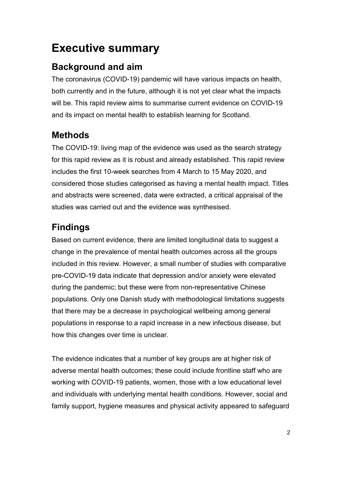## <span id="page-3-0"></span>**Executive summary**

## **Background and aim**

The coronavirus (COVID-19) pandemic will have various impacts on health, both currently and in the future, although it is not yet clear what the impacts will be. This rapid review aims to summarise current evidence on COVID-19 and its impact on mental health to establish learning for Scotland.

## **Methods**

The COVID-19: living map of the evidence was used as the search strategy for this rapid review as it is robust and already established. This rapid review includes the first 10-week searches from 4 March to 15 May 2020, and considered those studies categorised as having a mental health impact. Titles and abstracts were screened, data were extracted, a critical appraisal of the studies was carried out and the evidence was synthesised.

## **Findings**

Based on current evidence, there are limited longitudinal data to suggest a change in the prevalence of mental health outcomes across all the groups included in this review. However, a small number of studies with comparative pre-COVID-19 data indicate that depression and/or anxiety were elevated during the pandemic; but these were from non-representative Chinese populations. Only one Danish study with methodological limitations suggests that there may be a decrease in psychological wellbeing among general populations in response to a rapid increase in a new infectious disease, but how this changes over time is unclear.

The evidence indicates that a number of key groups are at higher risk of adverse mental health outcomes; these could include frontline staff who are working with COVID-19 patients, women, those with a low educational level and individuals with underlying mental health conditions. However, social and family support, hygiene measures and physical activity appeared to safeguard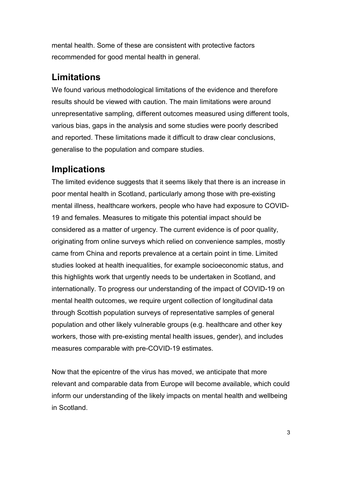mental health. Some of these are consistent with protective factors recommended for good mental health in general.

## **Limitations**

We found various methodological limitations of the evidence and therefore results should be viewed with caution. The main limitations were around unrepresentative sampling, different outcomes measured using different tools, various bias, gaps in the analysis and some studies were poorly described and reported. These limitations made it difficult to draw clear conclusions, generalise to the population and compare studies.

## **Implications**

The limited evidence suggests that it seems likely that there is an increase in poor mental health in Scotland, particularly among those with pre-existing mental illness, healthcare workers, people who have had exposure to COVID-19 and females. Measures to mitigate this potential impact should be considered as a matter of urgency. The current evidence is of poor quality, originating from online surveys which relied on convenience samples, mostly came from China and reports prevalence at a certain point in time. Limited studies looked at health inequalities, for example socioeconomic status, and this highlights work that urgently needs to be undertaken in Scotland, and internationally. To progress our understanding of the impact of COVID-19 on mental health outcomes, we require urgent collection of longitudinal data through Scottish population surveys of representative samples of general population and other likely vulnerable groups (e.g. healthcare and other key workers, those with pre-existing mental health issues, gender), and includes measures comparable with pre-COVID-19 estimates.

Now that the epicentre of the virus has moved, we anticipate that more relevant and comparable data from Europe will become available, which could inform our understanding of the likely impacts on mental health and wellbeing in Scotland.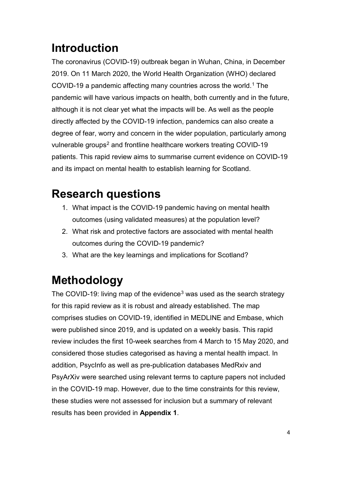# <span id="page-5-0"></span>**Introduction**

The coronavirus (COVID-19) outbreak began in Wuhan, China, in December 2019. On 11 March 2020, the World Health Organization (WHO) declared COVID-19 a pandemic affecting many countries across the world. [1](#page-129-0) The pandemic will have various impacts on health, both currently and in the future, although it is not clear yet what the impacts will be. As well as the people directly affected by the COVID-19 infection, pandemics can also create a degree of fear, worry and concern in the wider population, particularly among vulnerable groups<sup>[2](#page-129-1)</sup> and frontline healthcare workers treating COVID-19 patients. This rapid review aims to summarise current evidence on COVID-19 and its impact on mental health to establish learning for Scotland.

# <span id="page-5-1"></span>**Research questions**

- 1. What impact is the COVID-19 pandemic having on mental health outcomes (using validated measures) at the population level?
- 2. What risk and protective factors are associated with mental health outcomes during the COVID-19 pandemic?
- 3. What are the key learnings and implications for Scotland?

# <span id="page-5-2"></span>**Methodology**

The COVID-19: living map of the evidence<sup>[3](#page-129-2)</sup> was used as the search strategy for this rapid review as it is robust and already established. The map comprises studies on COVID-19, identified in MEDLINE and Embase, which were published since 2019, and is updated on a weekly basis. This rapid review includes the first 10-week searches from 4 March to 15 May 2020, and considered those studies categorised as having a mental health impact. In addition, PsycInfo as well as pre-publication databases MedRxiv and PsyArXiv were searched using relevant terms to capture papers not included in the COVID-19 map. However, due to the time constraints for this review, these studies were not assessed for inclusion but a summary of relevant results has been provided in **Appendix 1**.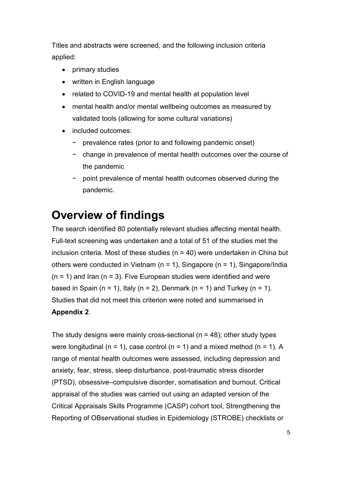Titles and abstracts were screened, and the following inclusion criteria applied:

- primary studies
- written in English language
- related to COVID-19 and mental health at population level
- mental health and/or mental wellbeing outcomes as measured by validated tools (allowing for some cultural variations)
- included outcomes:
	- − prevalence rates (prior to and following pandemic onset)
	- − change in prevalence of mental health outcomes over the course of the pandemic
	- − point prevalence of mental health outcomes observed during the pandemic.

## <span id="page-6-0"></span>**Overview of findings**

The search identified 80 potentially relevant studies affecting mental health. Full-text screening was undertaken and a total of 51 of the studies met the inclusion criteria. Most of these studies (n = 40) were undertaken in China but others were conducted in Vietnam (n = 1), Singapore (n = 1), Singapore/India  $(n = 1)$  and Iran  $(n = 3)$ . Five European studies were identified and were based in Spain (n = 1), Italy (n = 2), Denmark (n = 1) and Turkey (n = 1). Studies that did not meet this criterion were noted and summarised in **Appendix 2**.

The study designs were mainly cross-sectional ( $n = 48$ ); other study types were longitudinal (n = 1), case control (n = 1) and a mixed method (n = 1). A range of mental health outcomes were assessed, including depression and anxiety, fear, stress, sleep disturbance, post-traumatic stress disorder (PTSD), obsessive–compulsive disorder, somatisation and burnout. Critical appraisal of the studies was carried out using an adapted version of the Critical Appraisals Skills Programme (CASP) cohort tool, Strengthening the Reporting of OBservational studies in Epidemiology (STROBE) checklists or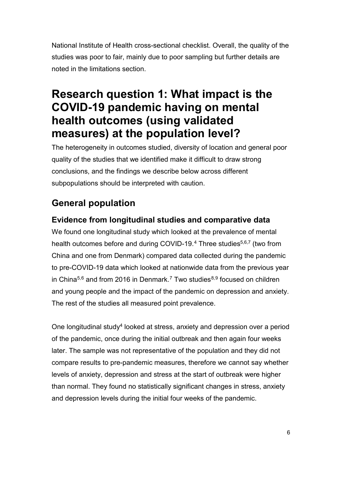National Institute of Health cross-sectional checklist. Overall, the quality of the studies was poor to fair, mainly due to poor sampling but further details are noted in the limitations section.

## <span id="page-7-0"></span>**Research question 1: What impact is the COVID-19 pandemic having on mental health outcomes (using validated measures) at the population level?**

The heterogeneity in outcomes studied, diversity of location and general poor quality of the studies that we identified make it difficult to draw strong conclusions, and the findings we describe below across different subpopulations should be interpreted with caution.

## **General population**

#### **Evidence from longitudinal studies and comparative data**

We found one longitudinal study which looked at the prevalence of mental health outcomes before and during COVID-19.<sup>[4](#page-129-3)</sup> Three studies<sup>5,6,7</sup> (two from China and one from Denmark) compared data collected during the pandemic to pre-COVID-19 data which looked at nationwide data from the previous year in China $5,6$  $5,6$  and from 2016 in Denmark.<sup>[7](#page-129-6)</sup> Two studies $^{8,9}$  $^{8,9}$  $^{8,9}$  $^{8,9}$  $^{8,9}$  focused on children and young people and the impact of the pandemic on depression and anxiety. The rest of the studies all measured point prevalence.

One longitudinal study4 looked at stress, anxiety and depression over a period of the pandemic, once during the initial outbreak and then again four weeks later. The sample was not representative of the population and they did not compare results to pre-pandemic measures, therefore we cannot say whether levels of anxiety, depression and stress at the start of outbreak were higher than normal. They found no statistically significant changes in stress, anxiety and depression levels during the initial four weeks of the pandemic.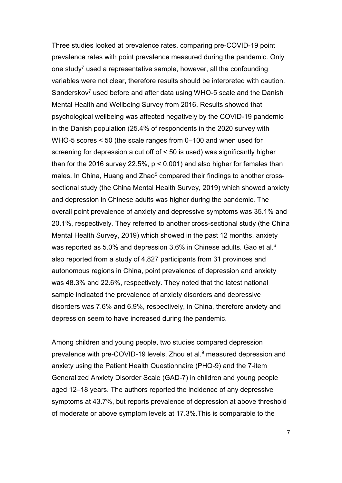Three studies looked at prevalence rates, comparing pre-COVID-19 point prevalence rates with point prevalence measured during the pandemic. Only one study<sup>7</sup> used a representative sample, however, all the confounding variables were not clear, therefore results should be interpreted with caution. Sønderskov<sup>7</sup> used before and after data using WHO-5 scale and the Danish Mental Health and Wellbeing Survey from 2016. Results showed that psychological wellbeing was affected negatively by the COVID-19 pandemic in the Danish population (25.4% of respondents in the 2020 survey with WHO-5 scores < 50 (the scale ranges from 0–100 and when used for screening for depression a cut off of < 50 is used) was significantly higher than for the 2016 survey 22.5%, p < 0.001) and also higher for females than males. In China, Huang and Zhao<sup>5</sup> compared their findings to another crosssectional study (the China Mental Health Survey, 2019) which showed anxiety and depression in Chinese adults was higher during the pandemic. The overall point prevalence of anxiety and depressive symptoms was 35.1% and 20.1%, respectively. They referred to another cross-sectional study (the China Mental Health Survey, 2019) which showed in the past 12 months, anxiety was reported as 5.0% and depression 3.6% in Chinese adults. Gao et al.<sup>6</sup> also reported from a study of 4,827 participants from 31 provinces and autonomous regions in China, point prevalence of depression and anxiety was 48.3% and 22.6%, respectively. They noted that the latest national sample indicated the prevalence of anxiety disorders and depressive disorders was 7.6% and 6.9%, respectively, in China, therefore anxiety and depression seem to have increased during the pandemic.

Among children and young people, two studies compared depression prevalence with pre-COVID-19 levels. Zhou et al.<sup>9</sup> measured depression and anxiety using the Patient Health Questionnaire (PHQ-9) and the 7-item Generalized Anxiety Disorder Scale (GAD-7) in children and young people aged 12–18 years. The authors reported the incidence of any depressive symptoms at 43.7%, but reports prevalence of depression at above threshold of moderate or above symptom levels at 17.3%.This is comparable to the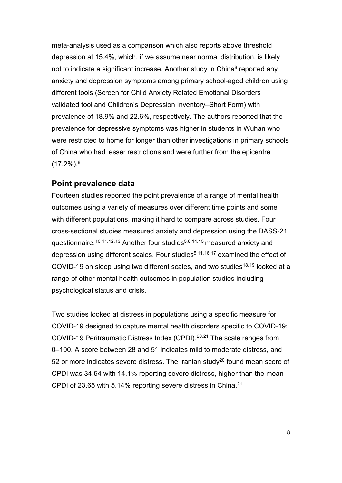meta-analysis used as a comparison which also reports above threshold depression at 15.4%, which, if we assume near normal distribution, is likely not to indicate a significant increase. Another study in China<sup>8</sup> reported any anxiety and depression symptoms among primary school-aged children using different tools (Screen for Child Anxiety Related Emotional Disorders validated tool and Children's Depression Inventory–Short Form) with prevalence of 18.9% and 22.6%, respectively. The authors reported that the prevalence for depressive symptoms was higher in students in Wuhan who were restricted to home for longer than other investigations in primary schools of China who had lesser restrictions and were further from the epicentre (17.2%). 8

#### **Point prevalence data**

Fourteen studies reported the point prevalence of a range of mental health outcomes using a variety of measures over different time points and some with different populations, making it hard to compare across studies. Four cross-sectional studies measured anxiety and depression using the DASS-21 questionnaire.<sup>[10,](#page-130-1)[11](#page-130-2),[12,](#page-130-3)[13](#page-130-4)</sup> Another four studies<sup>5,6,[14](#page-130-5),[15](#page-130-6)</sup> measured anxiety and depression using different scales. Four studies<sup>5,11,[16,](#page-130-7)[17](#page-131-0)</sup> examined the effect of COVID-19 on sleep using two different scales, and two studies<sup>[18,](#page-131-1)[19](#page-131-2)</sup> looked at a range of other mental health outcomes in population studies including psychological status and crisis.

Two studies looked at distress in populations using a specific measure for COVID-19 designed to capture mental health disorders specific to COVID-19: COVID-19 Peritraumatic Distress Index (CPDI).<sup>[20](#page-131-3),[21](#page-131-4)</sup> The scale ranges from 0–100. A score between 28 and 51 indicates mild to moderate distress, and 52 or more indicates severe distress. The Iranian study<sup>20</sup> found mean score of CPDI was 34.54 with 14.1% reporting severe distress, higher than the mean CPDI of 23.65 with 5.14% reporting severe distress in China. 21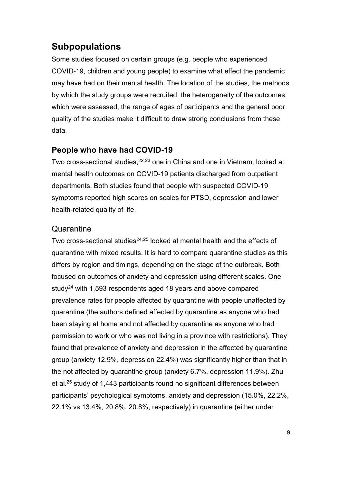### **Subpopulations**

Some studies focused on certain groups (e.g. people who experienced COVID-19, children and young people) to examine what effect the pandemic may have had on their mental health. The location of the studies, the methods by which the study groups were recruited, the heterogeneity of the outcomes which were assessed, the range of ages of participants and the general poor quality of the studies make it difficult to draw strong conclusions from these data.

#### **People who have had COVID-19**

Two cross-sectional studies, [22](#page-131-5),[23](#page-131-6) one in China and one in Vietnam, looked at mental health outcomes on COVID-19 patients discharged from outpatient departments. Both studies found that people with suspected COVID-19 symptoms reported high scores on scales for PTSD, depression and lower health-related quality of life.

#### **Quarantine**

Two cross-sectional studies<sup>[24,](#page-131-7)[25](#page-132-0)</sup> looked at mental health and the effects of quarantine with mixed results. It is hard to compare quarantine studies as this differs by region and timings, depending on the stage of the outbreak. Both focused on outcomes of anxiety and depression using different scales. One study<sup>24</sup> with 1,593 respondents aged 18 years and above compared prevalence rates for people affected by quarantine with people unaffected by quarantine (the authors defined affected by quarantine as anyone who had been staying at home and not affected by quarantine as anyone who had permission to work or who was not living in a province with restrictions). They found that prevalence of anxiety and depression in the affected by quarantine group (anxiety 12.9%, depression 22.4%) was significantly higher than that in the not affected by quarantine group (anxiety 6.7%, depression 11.9%). Zhu et al. <sup>25</sup> study of 1,443 participants found no significant differences between participants' psychological symptoms, anxiety and depression (15.0%, 22.2%, 22.1% vs 13.4%, 20.8%, 20.8%, respectively) in quarantine (either under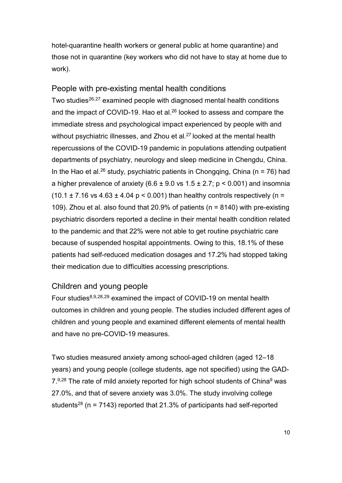hotel-quarantine health workers or general public at home quarantine) and those not in quarantine (key workers who did not have to stay at home due to work).

#### People with pre-existing mental health conditions

Two studies<sup>[26](#page-132-1),[27](#page-132-2)</sup> examined people with diagnosed mental health conditions and the impact of COVID-19. Hao et al. $^{26}$  looked to assess and compare the immediate stress and psychological impact experienced by people with and without psychiatric illnesses, and Zhou et al.<sup>27</sup> looked at the mental health repercussions of the COVID-19 pandemic in populations attending outpatient departments of psychiatry, neurology and sleep medicine in Chengdu, China. In the Hao et al.<sup>26</sup> study, psychiatric patients in Chongqing, China (n = 76) had a higher prevalence of anxiety (6.6  $\pm$  9.0 vs 1.5  $\pm$  2.7; p < 0.001) and insomnia (10.1  $\pm$  7.16 vs 4.63  $\pm$  4.04 p < 0.001) than healthy controls respectively (n = 109). Zhou et al. also found that 20.9% of patients (n = 8140) with pre-existing psychiatric disorders reported a decline in their mental health condition related to the pandemic and that 22% were not able to get routine psychiatric care because of suspended hospital appointments. Owing to this, 18.1% of these patients had self-reduced medication dosages and 17.2% had stopped taking their medication due to difficulties accessing prescriptions.

#### Children and young people

Four studies<sup>8,9,[28,](#page-132-3)[29](#page-132-4)</sup> examined the impact of COVID-19 on mental health outcomes in children and young people. The studies included different ages of children and young people and examined different elements of mental health and have no pre-COVID-19 measures.

Two studies measured anxiety among school-aged children (aged 12–18 years) and young people (college students, age not specified) using the GAD-7.<sup>9,28</sup> The rate of mild anxiety reported for high school students of China<sup>9</sup> was 27.0%, and that of severe anxiety was 3.0%. The study involving college students<sup>28</sup> (n = 7143) reported that 21.3% of participants had self-reported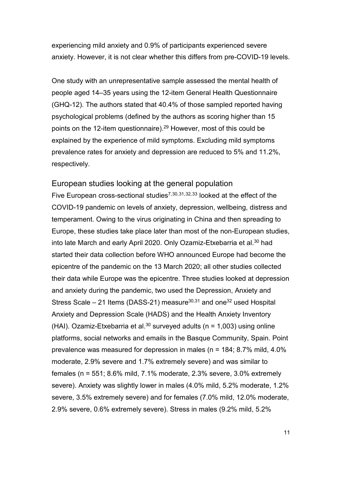experiencing mild anxiety and 0.9% of participants experienced severe anxiety. However, it is not clear whether this differs from pre-COVID-19 levels.

One study with an unrepresentative sample assessed the mental health of people aged 14–35 years using the 12-item General Health Questionnaire (GHQ-12). The authors stated that 40.4% of those sampled reported having psychological problems (defined by the authors as scoring higher than 15 points on the 12-item questionnaire). <sup>29</sup> However, most of this could be explained by the experience of mild symptoms. Excluding mild symptoms prevalence rates for anxiety and depression are reduced to 5% and 11.2%, respectively.

#### European studies looking at the general population

Five European cross-sectional studies<sup>7,[30,](#page-132-5)[31](#page-132-6),[32](#page-132-7),[33](#page-133-0)</sup> looked at the effect of the COVID-19 pandemic on levels of anxiety, depression, wellbeing, distress and temperament. Owing to the virus originating in China and then spreading to Europe, these studies take place later than most of the non-European studies, into late March and early April 2020. Only Ozamiz-Etxebarria et al.<sup>30</sup> had started their data collection before WHO announced Europe had become the epicentre of the pandemic on the 13 March 2020; all other studies collected their data while Europe was the epicentre. Three studies looked at depression and anxiety during the pandemic, two used the Depression, Anxiety and Stress Scale – 21 Items (DASS-21) measure $30,31$  and one  $32$  used Hospital Anxiety and Depression Scale (HADS) and the Health Anxiety Inventory (HAI). Ozamiz-Etxebarria et al.<sup>30</sup> surveyed adults ( $n = 1,003$ ) using online platforms, social networks and emails in the Basque Community, Spain. Point prevalence was measured for depression in males (n = 184; 8.7% mild, 4.0% moderate, 2.9% severe and 1.7% extremely severe) and was similar to females (n = 551; 8.6% mild, 7.1% moderate, 2.3% severe, 3.0% extremely severe). Anxiety was slightly lower in males (4.0% mild, 5.2% moderate, 1.2% severe, 3.5% extremely severe) and for females (7.0% mild, 12.0% moderate, 2.9% severe, 0.6% extremely severe). Stress in males (9.2% mild, 5.2%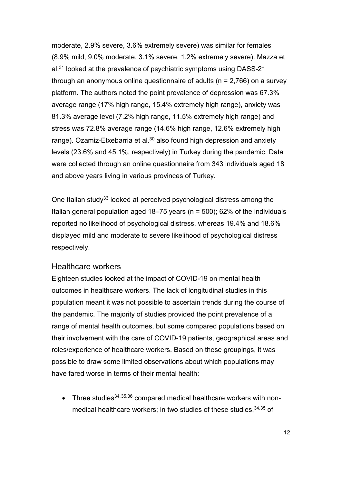moderate, 2.9% severe, 3.6% extremely severe) was similar for females (8.9% mild, 9.0% moderate, 3.1% severe, 1.2% extremely severe). Mazza et al.<sup>31</sup> looked at the prevalence of psychiatric symptoms using DASS-21 through an anonymous online questionnaire of adults (n = 2,766) on a survey platform. The authors noted the point prevalence of depression was 67.3% average range (17% high range, 15.4% extremely high range), anxiety was 81.3% average level (7.2% high range, 11.5% extremely high range) and stress was 72.8% average range (14.6% high range, 12.6% extremely high range). Ozamiz-Etxebarria et al.<sup>30</sup> also found high depression and anxiety levels (23.6% and 45.1%, respectively) in Turkey during the pandemic. Data were collected through an online questionnaire from 343 individuals aged 18 and above years living in various provinces of Turkey.

One Italian study<sup>33</sup> looked at perceived psychological distress among the Italian general population aged 18–75 years (n = 500); 62% of the individuals reported no likelihood of psychological distress, whereas 19.4% and 18.6% displayed mild and moderate to severe likelihood of psychological distress respectively.

#### Healthcare workers

Eighteen studies looked at the impact of COVID-19 on mental health outcomes in healthcare workers. The lack of longitudinal studies in this population meant it was not possible to ascertain trends during the course of the pandemic. The majority of studies provided the point prevalence of a range of mental health outcomes, but some compared populations based on their involvement with the care of COVID-19 patients, geographical areas and roles/experience of healthcare workers. Based on these groupings, it was possible to draw some limited observations about which populations may have fared worse in terms of their mental health:

• Three studies  $34,35,36$  $34,35,36$  $34,35,36$  $34,35,36$  compared medical healthcare workers with nonmedical healthcare workers; in two studies of these studies, 34,35 of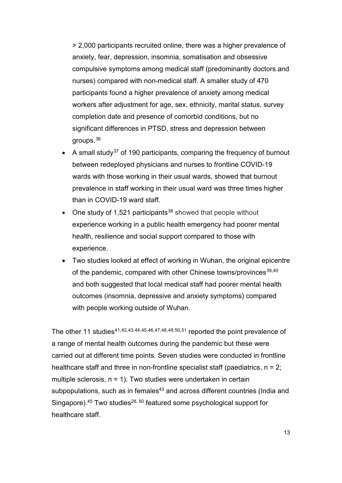> 2,000 participants recruited online, there was a higher prevalence of anxiety, fear, depression, insomnia, somatisation and obsessive compulsive symptoms among medical staff (predominantly doctors and nurses) compared with non-medical staff. A smaller study of 470 participants found a higher prevalence of anxiety among medical workers after adjustment for age, sex, ethnicity, marital status, survey completion date and presence of comorbid conditions, but no significant differences in PTSD, stress and depression between groups. [36](#page-133-3)

- A small study<sup>[37](#page-133-4)</sup> of 190 participants, comparing the frequency of burnout between redeployed physicians and nurses to frontline COVID-19 wards with those working in their usual wards, showed that burnout prevalence in staff working in their usual ward was three times higher than in COVID-19 ward staff.
- One study of 1,521 participants<sup>[38](#page-133-5)</sup> showed that people without experience working in a public health emergency had poorer mental health, resilience and social support compared to those with experience.
- Two studies looked at effect of working in Wuhan, the original epicentre of the pandemic, compared with other Chinese towns/provinces<sup>[39](#page-133-6),[40](#page-133-7)</sup> and both suggested that local medical staff had poorer mental health outcomes (insomnia, depressive and anxiety symptoms) compared with people working outside of Wuhan.

The other 11 studies<sup>[41,](#page-134-0)[42](#page-134-1),[43](#page-134-2),[44,](#page-134-3)[45](#page-134-4),[46,](#page-134-5)[47,](#page-134-6)[48](#page-134-7),[49,](#page-134-8)[50](#page-134-9),[51](#page-134-2)</sup> reported the point prevalence of a range of mental health outcomes during the pandemic but these were carried out at different time points. Seven studies were conducted in frontline healthcare staff and three in non-frontline specialist staff (paediatrics,  $n = 2$ ; multiple sclerosis,  $n = 1$ ). Two studies were undertaken in certain subpopulations, such as in females $43$  and across different countries (India and Singapore).<sup>45</sup> Two studies<sup>28, 50</sup> featured some psychological support for healthcare staff.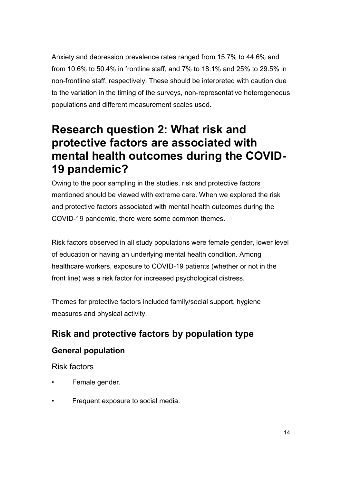Anxiety and depression prevalence rates ranged from 15.7% to 44.6% and from 10.6% to 50.4% in frontline staff, and 7% to 18.1% and 25% to 29.5% in non-frontline staff, respectively. These should be interpreted with caution due to the variation in the timing of the surveys, non-representative heterogeneous populations and different measurement scales used.

## <span id="page-15-0"></span>**Research question 2: What risk and protective factors are associated with mental health outcomes during the COVID-19 pandemic?**

Owing to the poor sampling in the studies, risk and protective factors mentioned should be viewed with extreme care. When we explored the risk and protective factors associated with mental health outcomes during the COVID-19 pandemic, there were some common themes.

Risk factors observed in all study populations were female gender, lower level of education or having an underlying mental health condition. Among healthcare workers, exposure to COVID-19 patients (whether or not in the front line) was a risk factor for increased psychological distress.

Themes for protective factors included family/social support, hygiene measures and physical activity.

## **Risk and protective factors by population type**

### **General population**

Risk factors

- Female gender.
- Frequent exposure to social media.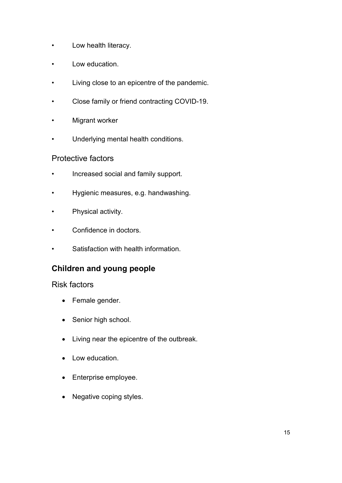- Low health literacy.
- Low education.
- Living close to an epicentre of the pandemic.
- Close family or friend contracting COVID-19.
- Migrant worker
- Underlying mental health conditions.

#### Protective factors

- Increased social and family support.
- Hygienic measures, e.g. handwashing.
- Physical activity.
- Confidence in doctors.
- Satisfaction with health information.

## **Children and young people**

#### Risk factors

- Female gender.
- Senior high school.
- Living near the epicentre of the outbreak.
- Low education.
- Enterprise employee.
- Negative coping styles.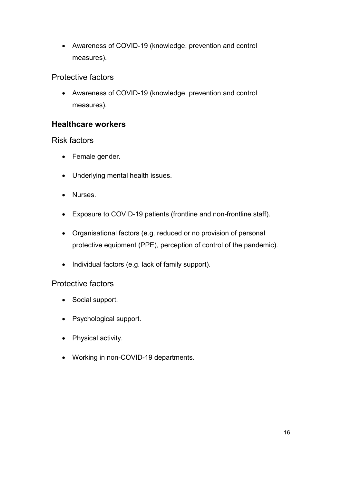• Awareness of COVID-19 (knowledge, prevention and control measures).

#### Protective factors

• Awareness of COVID-19 (knowledge, prevention and control measures).

#### **Healthcare workers**

#### Risk factors

- Female gender.
- Underlying mental health issues.
- Nurses.
- Exposure to COVID-19 patients (frontline and non-frontline staff).
- Organisational factors (e.g. reduced or no provision of personal protective equipment (PPE), perception of control of the pandemic).
- Individual factors (e.g. lack of family support).

#### Protective factors

- Social support.
- Psychological support.
- Physical activity.
- Working in non-COVID-19 departments.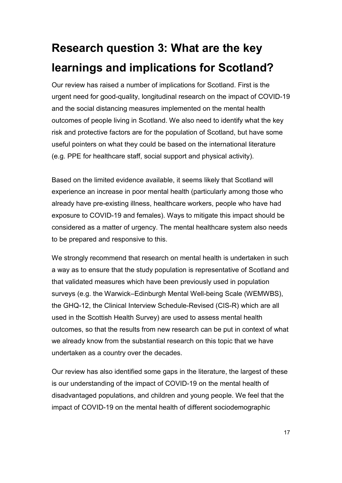# <span id="page-18-0"></span>**Research question 3: What are the key learnings and implications for Scotland?**

Our review has raised a number of implications for Scotland. First is the urgent need for good-quality, longitudinal research on the impact of COVID-19 and the social distancing measures implemented on the mental health outcomes of people living in Scotland. We also need to identify what the key risk and protective factors are for the population of Scotland, but have some useful pointers on what they could be based on the international literature (e.g. PPE for healthcare staff, social support and physical activity).

Based on the limited evidence available, it seems likely that Scotland will experience an increase in poor mental health (particularly among those who already have pre-existing illness, healthcare workers, people who have had exposure to COVID-19 and females). Ways to mitigate this impact should be considered as a matter of urgency. The mental healthcare system also needs to be prepared and responsive to this.

We strongly recommend that research on mental health is undertaken in such a way as to ensure that the study population is representative of Scotland and that validated measures which have been previously used in population surveys (e.g. the Warwick–Edinburgh Mental Well-being Scale (WEMWBS), the GHQ-12, the Clinical Interview Schedule-Revised (CIS-R) which are all used in the Scottish Health Survey) are used to assess mental health outcomes, so that the results from new research can be put in context of what we already know from the substantial research on this topic that we have undertaken as a country over the decades.

Our review has also identified some gaps in the literature, the largest of these is our understanding of the impact of COVID-19 on the mental health of disadvantaged populations, and children and young people. We feel that the impact of COVID-19 on the mental health of different sociodemographic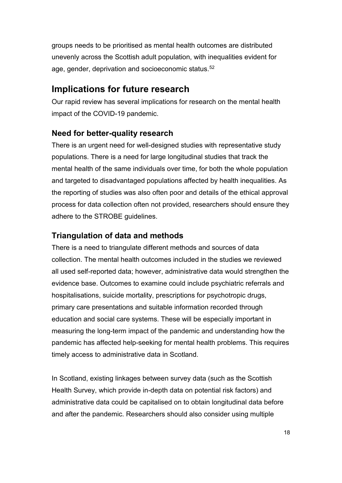groups needs to be prioritised as mental health outcomes are distributed unevenly across the Scottish adult population, with inequalities evident for age, gender, deprivation and socioeconomic status. [52](#page-134-10)

### **Implications for future research**

Our rapid review has several implications for research on the mental health impact of the COVID-19 pandemic.

#### **Need for better-quality research**

There is an urgent need for well-designed studies with representative study populations. There is a need for large longitudinal studies that track the mental health of the same individuals over time, for both the whole population and targeted to disadvantaged populations affected by health inequalities. As the reporting of studies was also often poor and details of the ethical approval process for data collection often not provided, researchers should ensure they adhere to the STROBE guidelines.

#### **Triangulation of data and methods**

There is a need to triangulate different methods and sources of data collection. The mental health outcomes included in the studies we reviewed all used self-reported data; however, administrative data would strengthen the evidence base. Outcomes to examine could include psychiatric referrals and hospitalisations, suicide mortality, prescriptions for psychotropic drugs, primary care presentations and suitable information recorded through education and social care systems. These will be especially important in measuring the long-term impact of the pandemic and understanding how the pandemic has affected help-seeking for mental health problems. This requires timely access to administrative data in Scotland.

In Scotland, existing linkages between survey data (such as the Scottish Health Survey, which provide in-depth data on potential risk factors) and administrative data could be capitalised on to obtain longitudinal data before and after the pandemic. Researchers should also consider using multiple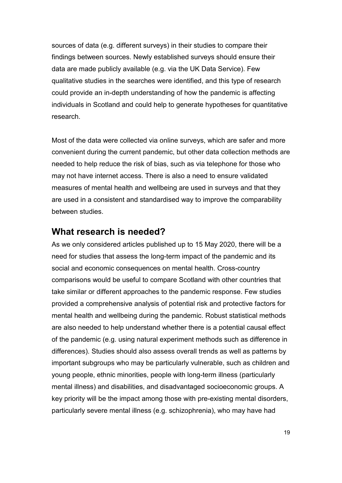sources of data (e.g. different surveys) in their studies to compare their findings between sources. Newly established surveys should ensure their data are made publicly available (e.g. via the UK Data Service). Few qualitative studies in the searches were identified, and this type of research could provide an in-depth understanding of how the pandemic is affecting individuals in Scotland and could help to generate hypotheses for quantitative research.

Most of the data were collected via online surveys, which are safer and more convenient during the current pandemic, but other data collection methods are needed to help reduce the risk of bias, such as via telephone for those who may not have internet access. There is also a need to ensure validated measures of mental health and wellbeing are used in surveys and that they are used in a consistent and standardised way to improve the comparability between studies.

#### **What research is needed?**

As we only considered articles published up to 15 May 2020, there will be a need for studies that assess the long-term impact of the pandemic and its social and economic consequences on mental health. Cross-country comparisons would be useful to compare Scotland with other countries that take similar or different approaches to the pandemic response. Few studies provided a comprehensive analysis of potential risk and protective factors for mental health and wellbeing during the pandemic. Robust statistical methods are also needed to help understand whether there is a potential causal effect of the pandemic (e.g. using natural experiment methods such as difference in differences). Studies should also assess overall trends as well as patterns by important subgroups who may be particularly vulnerable, such as children and young people, ethnic minorities, people with long-term illness (particularly mental illness) and disabilities, and disadvantaged socioeconomic groups. A key priority will be the impact among those with pre-existing mental disorders, particularly severe mental illness (e.g. schizophrenia), who may have had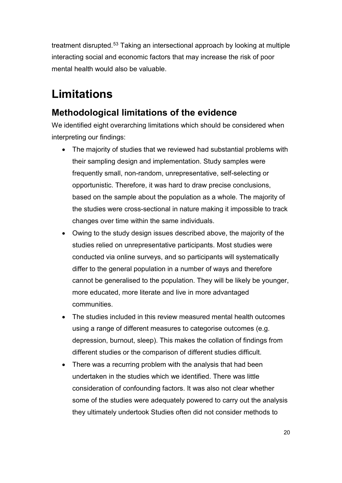treatment disrupted. [53](#page-134-11) Taking an intersectional approach by looking at multiple interacting social and economic factors that may increase the risk of poor mental health would also be valuable.

## <span id="page-21-0"></span>**Limitations**

## **Methodological limitations of the evidence**

We identified eight overarching limitations which should be considered when interpreting our findings:

- The majority of studies that we reviewed had substantial problems with their sampling design and implementation. Study samples were frequently small, non-random, unrepresentative, self-selecting or opportunistic. Therefore, it was hard to draw precise conclusions, based on the sample about the population as a whole. The majority of the studies were cross-sectional in nature making it impossible to track changes over time within the same individuals.
- Owing to the study design issues described above, the majority of the studies relied on unrepresentative participants. Most studies were conducted via online surveys, and so participants will systematically differ to the general population in a number of ways and therefore cannot be generalised to the population. They will be likely be younger, more educated, more literate and live in more advantaged communities.
- The studies included in this review measured mental health outcomes using a range of different measures to categorise outcomes (e.g. depression, burnout, sleep). This makes the collation of findings from different studies or the comparison of different studies difficult.
- There was a recurring problem with the analysis that had been undertaken in the studies which we identified. There was little consideration of confounding factors. It was also not clear whether some of the studies were adequately powered to carry out the analysis they ultimately undertook Studies often did not consider methods to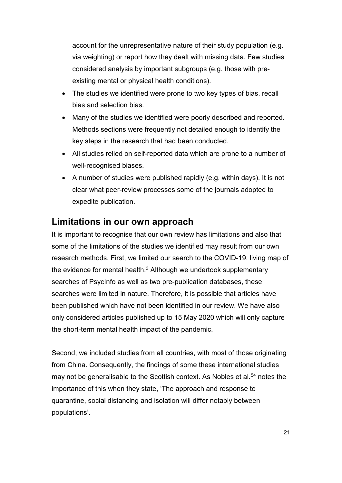account for the unrepresentative nature of their study population (e.g. via weighting) or report how they dealt with missing data. Few studies considered analysis by important subgroups (e.g. those with preexisting mental or physical health conditions).

- The studies we identified were prone to two key types of bias, recall bias and selection bias.
- Many of the studies we identified were poorly described and reported. Methods sections were frequently not detailed enough to identify the key steps in the research that had been conducted.
- All studies relied on self-reported data which are prone to a number of well-recognised biases.
- A number of studies were published rapidly (e.g. within days). It is not clear what peer-review processes some of the journals adopted to expedite publication.

## **Limitations in our own approach**

It is important to recognise that our own review has limitations and also that some of the limitations of the studies we identified may result from our own research methods. First, we limited our search to the COVID-19: living map of the evidence for mental health. $3$  Although we undertook supplementary searches of PsycInfo as well as two pre-publication databases, these searches were limited in nature. Therefore, it is possible that articles have been published which have not been identified in our review. We have also only considered articles published up to 15 May 2020 which will only capture the short-term mental health impact of the pandemic.

Second, we included studies from all countries, with most of those originating from China. Consequently, the findings of some these international studies may not be generalisable to the Scottish context. As Nobles et al.<sup>[54](#page-134-12)</sup> notes the importance of this when they state, 'The approach and response to quarantine, social distancing and isolation will differ notably between populations'.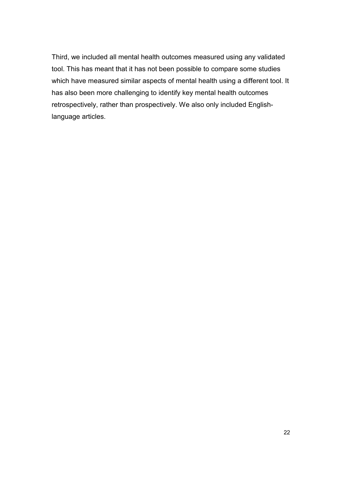Third, we included all mental health outcomes measured using any validated tool. This has meant that it has not been possible to compare some studies which have measured similar aspects of mental health using a different tool. It has also been more challenging to identify key mental health outcomes retrospectively, rather than prospectively. We also only included Englishlanguage articles.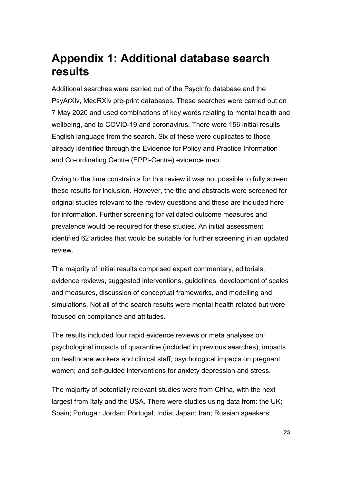## <span id="page-24-0"></span>**Appendix 1: Additional database search results**

Additional searches were carried out of the PsycInfo database and the PsyArXiv, MedRXiv pre-print databases. These searches were carried out on 7 May 2020 and used combinations of key words relating to mental health and wellbeing, and to COVID-19 and coronavirus. There were 156 initial results English language from the search. Six of these were duplicates to those already identified through the Evidence for Policy and Practice Information and Co-ordinating Centre (EPPI-Centre) evidence map.

Owing to the time constraints for this review it was not possible to fully screen these results for inclusion. However, the title and abstracts were screened for original studies relevant to the review questions and these are included here for information. Further screening for validated outcome measures and prevalence would be required for these studies. An initial assessment identified 62 articles that would be suitable for further screening in an updated review.

The majority of initial results comprised expert commentary, editorials, evidence reviews, suggested interventions, guidelines, development of scales and measures, discussion of conceptual frameworks, and modelling and simulations. Not all of the search results were mental health related but were focused on compliance and attitudes.

The results included four rapid evidence reviews or meta analyses on: psychological impacts of quarantine (included in previous searches); impacts on healthcare workers and clinical staff; psychological impacts on pregnant women; and self-guided interventions for anxiety depression and stress.

The majority of potentially relevant studies were from China, with the next largest from Italy and the USA. There were studies using data from: the UK; Spain; Portugal; Jordan; Portugal; India; Japan; Iran; Russian speakers;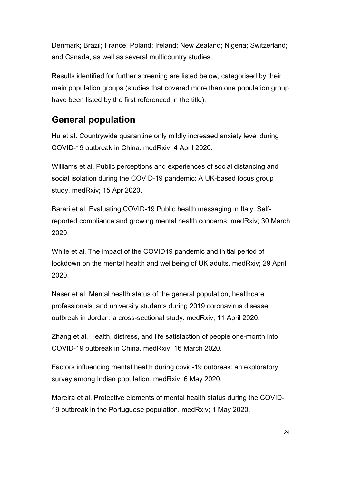Denmark; Brazil; France; Poland; Ireland; New Zealand; Nigeria; Switzerland; and Canada, as well as several multicountry studies.

Results identified for further screening are listed below, categorised by their main population groups (studies that covered more than one population group have been listed by the first referenced in the title):

## **General population**

Hu et al. Countrywide quarantine only mildly increased anxiety level during COVID-19 outbreak in China. medRxiv; 4 April 2020.

Williams et al. Public perceptions and experiences of social distancing and social isolation during the COVID-19 pandemic: A UK-based focus group study. medRxiv; 15 Apr 2020.

Barari et al. Evaluating COVID-19 Public health messaging in Italy: Selfreported compliance and growing mental health concerns. medRxiv; 30 March 2020.

White et al. The impact of the COVID19 pandemic and initial period of lockdown on the mental health and wellbeing of UK adults. medRxiv; 29 April 2020.

Naser et al. Mental health status of the general population, healthcare professionals, and university students during 2019 coronavirus disease outbreak in Jordan: a cross-sectional study. medRxiv; 11 April 2020.

Zhang et al. Health, distress, and life satisfaction of people one-month into COVID-19 outbreak in China. medRxiv; 16 March 2020.

Factors influencing mental health during covid-19 outbreak: an exploratory survey among Indian population. medRxiv; 6 May 2020.

Moreira et al. Protective elements of mental health status during the COVID-19 outbreak in the Portuguese population. medRxiv; 1 May 2020.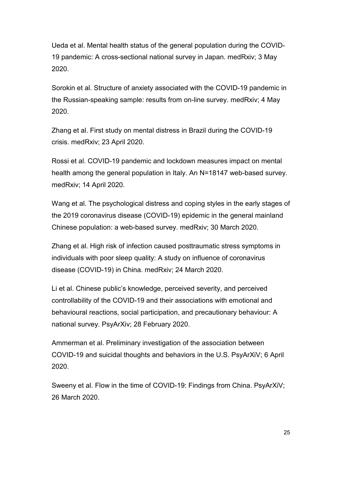Ueda et al. Mental health status of the general population during the COVID-19 pandemic: A cross-sectional national survey in Japan. medRxiv; 3 May 2020.

Sorokin et al. Structure of anxiety associated with the COVID-19 pandemic in the Russian-speaking sample: results from on-line survey. medRxiv; 4 May 2020.

Zhang et al. First study on mental distress in Brazil during the COVID-19 crisis. medRxiv; 23 April 2020.

Rossi et al. COVID-19 pandemic and lockdown measures impact on mental health among the general population in Italy. An N=18147 web-based survey. medRxiv; 14 April 2020.

Wang et al. The psychological distress and coping styles in the early stages of the 2019 coronavirus disease (COVID-19) epidemic in the general mainland Chinese population: a web-based survey. medRxiv; 30 March 2020.

Zhang et al. High risk of infection caused posttraumatic stress symptoms in individuals with poor sleep quality: A study on influence of coronavirus disease (COVID-19) in China. medRxiv; 24 March 2020.

Li et al. Chinese public's knowledge, perceived severity, and perceived controllability of the COVID-19 and their associations with emotional and behavioural reactions, social participation, and precautionary behaviour: A national survey. PsyArXiv; 28 February 2020.

Ammerman et al. Preliminary investigation of the association between COVID-19 and suicidal thoughts and behaviors in the U.S. PsyArXiV; 6 April 2020.

Sweeny et al. Flow in the time of COVID-19: Findings from China. PsyArXiV; 26 March 2020.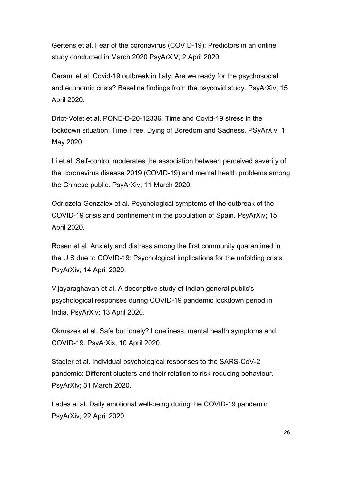Gertens et al. Fear of the coronavirus (COVID-19): Predictors in an online study conducted in March 2020 PsyArXiV; 2 April 2020.

Cerami et al. Covid-19 outbreak in Italy: Are we ready for the psychosocial and economic crisis? Baseline findings from the psycovid study. PsyArXiv; 15 April 2020.

Driot-Volet et al. PONE-D-20-12336. Time and Covid-19 stress in the lockdown situation: Time Free, Dying of Boredom and Sadness. PSyArXiv; 1 May 2020.

Li et al. Self-control moderates the association between perceived severity of the coronavirus disease 2019 (COVID-19) and mental health problems among the Chinese public. PsyArXiv; 11 March 2020.

Odriozola-Gonzalex et al. Psychological symptoms of the outbreak of the COVID-19 crisis and confinement in the population of Spain. PsyArXiv; 15 April 2020.

Rosen et al. Anxiety and distress among the first community quarantined in the U.S due to COVID-19: Psychological implications for the unfolding crisis. PsyArXiv; 14 April 2020.

Vijayaraghavan et al. A descriptive study of Indian general public's psychological responses during COVID-19 pandemic lockdown period in India. PsyArXiv; 13 April 2020.

Okruszek et al. Safe but lonely? Loneliness, mental health symptoms and COVID-19. PsyArXix; 10 April 2020.

Stadler et al. Individual psychological responses to the SARS-CoV-2 pandemic: Different clusters and their relation to risk-reducing behaviour. PsyArXiv; 31 March 2020.

Lades et al. Daily emotional well-being during the COVID-19 pandemic PsyArXiv; 22 April 2020.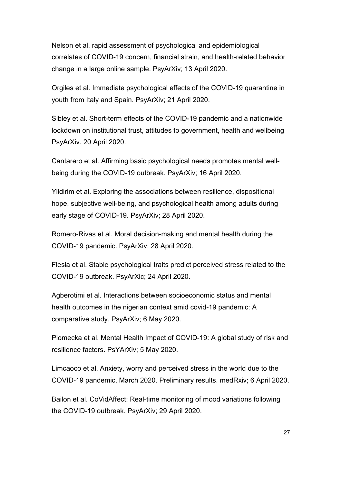Nelson et al. rapid assessment of psychological and epidemiological correlates of COVID-19 concern, financial strain, and health-related behavior change in a large online sample. PsyArXiv; 13 April 2020.

Orgiles et al. Immediate psychological effects of the COVID-19 quarantine in youth from Italy and Spain. PsyArXiv; 21 April 2020.

Sibley et al. Short-term effects of the COVID-19 pandemic and a nationwide lockdown on institutional trust, attitudes to government, health and wellbeing PsyArXiv. 20 April 2020.

Cantarero et al. Affirming basic psychological needs promotes mental wellbeing during the COVID-19 outbreak. PsyArXiv; 16 April 2020.

Yildirim et al. Exploring the associations between resilience, dispositional hope, subjective well-being, and psychological health among adults during early stage of COVID-19. PsyArXiv; 28 April 2020.

Romero-Rivas et al. Moral decision-making and mental health during the COVID-19 pandemic. PsyArXiv; 28 April 2020.

Flesia et al. Stable psychological traits predict perceived stress related to the COVID-19 outbreak. PsyArXic; 24 April 2020.

Agberotimi et al. Interactions between socioeconomic status and mental health outcomes in the nigerian context amid covid-19 pandemic: A comparative study. PsyArXiv; 6 May 2020.

Plomecka et al. Mental Health Impact of COVID-19: A global study of risk and resilience factors. PsYArXiv; 5 May 2020.

Limcaoco et al. Anxiety, worry and perceived stress in the world due to the COVID-19 pandemic, March 2020. Preliminary results. medRxiv; 6 April 2020.

Bailon et al. CoVidAffect: Real-time monitoring of mood variations following the COVID-19 outbreak. PsyArXiv; 29 April 2020.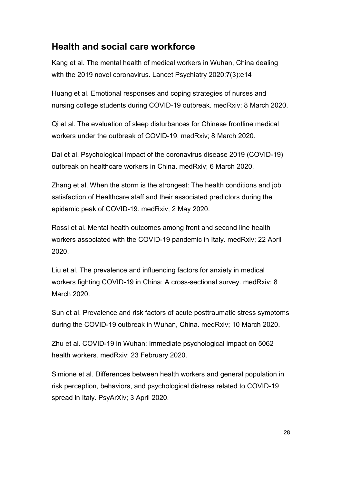## **Health and social care workforce**

Kang et al. The mental health of medical workers in Wuhan, China dealing with the 2019 novel coronavirus. Lancet Psychiatry 2020;7(3):e14

Huang et al. Emotional responses and coping strategies of nurses and nursing college students during COVID-19 outbreak. medRxiv; 8 March 2020.

Qi et al. The evaluation of sleep disturbances for Chinese frontline medical workers under the outbreak of COVID-19. medRxiv; 8 March 2020.

Dai et al. Psychological impact of the coronavirus disease 2019 (COVID-19) outbreak on healthcare workers in China. medRxiv; 6 March 2020.

Zhang et al. When the storm is the strongest: The health conditions and job satisfaction of Healthcare staff and their associated predictors during the epidemic peak of COVID-19. medRxiv; 2 May 2020.

Rossi et al. Mental health outcomes among front and second line health workers associated with the COVID-19 pandemic in Italy. medRxiv; 22 April 2020.

Liu et al. The prevalence and influencing factors for anxiety in medical workers fighting COVID-19 in China: A cross-sectional survey. medRxiv; 8 March 2020.

Sun et al. Prevalence and risk factors of acute posttraumatic stress symptoms during the COVID-19 outbreak in Wuhan, China. medRxiv; 10 March 2020.

Zhu et al. COVID-19 in Wuhan: Immediate psychological impact on 5062 health workers. medRxiv; 23 February 2020.

Simione et al. Differences between health workers and general population in risk perception, behaviors, and psychological distress related to COVID-19 spread in Italy. PsyArXiv; 3 April 2020.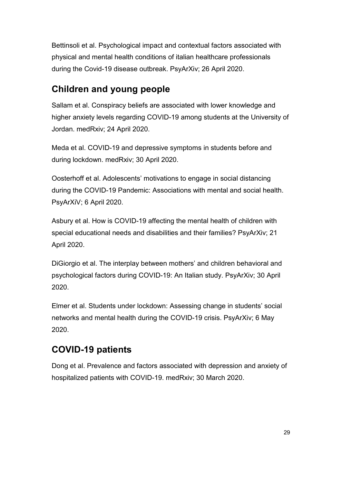Bettinsoli et al. Psychological impact and contextual factors associated with physical and mental health conditions of italian healthcare professionals during the Covid-19 disease outbreak. PsyArXiv; 26 April 2020.

## **Children and young people**

Sallam et al. Conspiracy beliefs are associated with lower knowledge and higher anxiety levels regarding COVID-19 among students at the University of Jordan. medRxiv; 24 April 2020.

Meda et al. COVID-19 and depressive symptoms in students before and during lockdown. medRxiv; 30 April 2020.

Oosterhoff et al. Adolescents' motivations to engage in social distancing during the COVID-19 Pandemic: Associations with mental and social health. PsyArXiV; 6 April 2020.

Asbury et al. How is COVID-19 affecting the mental health of children with special educational needs and disabilities and their families? PsyArXiv; 21 April 2020.

DiGiorgio et al. The interplay between mothers' and children behavioral and psychological factors during COVID-19: An Italian study. PsyArXiv; 30 April 2020.

Elmer et al. Students under lockdown: Assessing change in students' social networks and mental health during the COVID-19 crisis. PsyArXiv; 6 May 2020.

## **COVID-19 patients**

Dong et al. Prevalence and factors associated with depression and anxiety of hospitalized patients with COVID-19. medRxiv; 30 March 2020.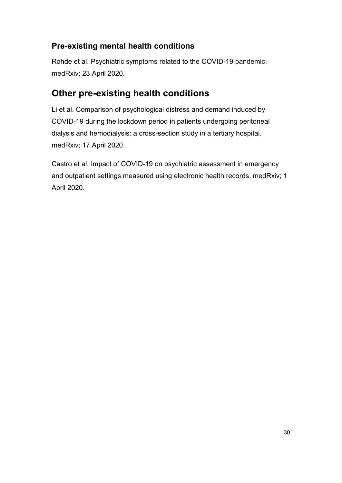### **Pre-existing mental health conditions**

Rohde et al. Psychiatric symptoms related to the COVID-19 pandemic. medRxiv; 23 April 2020.

## **Other pre-existing health conditions**

Li et al. Comparison of psychological distress and demand induced by COVID-19 during the lockdown period in patients undergoing peritoneal dialysis and hemodialysis: a cross-section study in a tertiary hospital. medRxiv; 17 April 2020.

Castro et al. Impact of COVID-19 on psychiatric assessment in emergency and outpatient settings measured using electronic health records. medRxiv; 1 April 2020.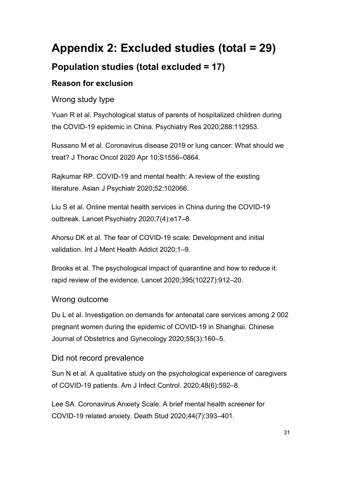# <span id="page-32-0"></span>**Appendix 2: Excluded studies (total = 29)**

## **Population studies (total excluded = 17)**

### **Reason for exclusion**

Wrong study type

Yuan R et al. Psychological status of parents of hospitalized children during the COVID-19 epidemic in China. Psychiatry Res 2020;288:112953.

Russano M et al. Coronavirus disease 2019 or lung cancer: What should we treat? J Thorac Oncol 2020 Apr 10;S1556–0864.

Rajkumar RP. COVID-19 and mental health: A review of the existing literature. Asian J Psychiatr 2020;52:102066.

Liu S et al. Online mental health services in China during the COVID-19 outbreak. Lancet Psychiatry 2020;7(4):e17–8.

Ahorsu DK et al. The fear of COVID-19 scale: Development and initial validation. Int J Ment Health Addict 2020;1–9.

Brooks et al. The psychological impact of quarantine and how to reduce it: rapid review of the evidence. Lancet 2020;395(10227):912–20.

#### Wrong outcome

Du L et al. Investigation on demands for antenatal care services among 2 002 pregnant women during the epidemic of COVID-19 in Shanghai. Chinese Journal of Obstetrics and Gynecology 2020;55(3):160–5.

#### Did not record prevalence

Sun N et al. A qualitative study on the psychological experience of caregivers of COVID-19 patients. Am J Infect Control. 2020;48(6):592–8.

Lee SA. Coronavirus Anxiety Scale: A brief mental health screener for COVID-19 related anxiety. Death Stud 2020;44(7):393–401.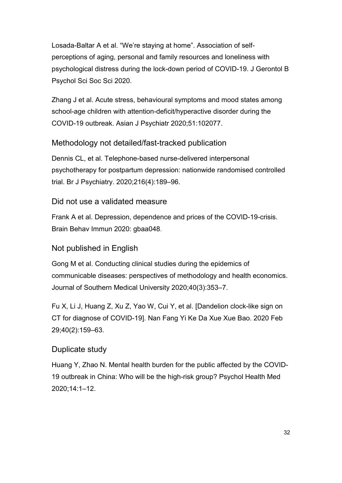Losada-Baltar A et al. "We're staying at home". Association of selfperceptions of aging, personal and family resources and loneliness with psychological distress during the lock-down period of COVID-19. J Gerontol B Psychol Sci Soc Sci 2020.

Zhang J et al. Acute stress, behavioural symptoms and mood states among school-age children with attention-deficit/hyperactive disorder during the COVID-19 outbreak. Asian J Psychiatr 2020;51:102077.

#### Methodology not detailed/fast-tracked publication

Dennis CL, et al. Telephone-based nurse-delivered interpersonal psychotherapy for postpartum depression: nationwide randomised controlled trial. Br J Psychiatry. 2020;216(4):189–96.

#### Did not use a validated measure

Frank A et al. Depression, dependence and prices of the COVID-19-crisis. Brain Behav Immun 2020: gbaa048.

#### Not published in English

Gong M et al. Conducting clinical studies during the epidemics of communicable diseases: perspectives of methodology and health economics. Journal of Southern Medical University 2020;40(3):353–7.

Fu X, Li J, Huang Z, Xu Z, Yao W, Cui Y, et al. [Dandelion clock-like sign on CT for diagnose of COVID-19]. Nan Fang Yi Ke Da Xue Xue Bao. 2020 Feb 29;40(2):159–63.

#### Duplicate study

Huang Y, Zhao N. Mental health burden for the public affected by the COVID-19 outbreak in China: Who will be the high-risk group? Psychol Health Med 2020;14:1–12.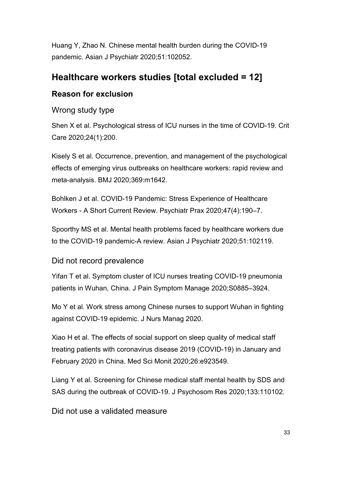Huang Y, Zhao N. Chinese mental health burden during the COVID-19 pandemic. Asian J Psychiatr 2020;51:102052.

## **Healthcare workers studies [total excluded = 12]**

#### **Reason for exclusion**

Wrong study type

Shen X et al. Psychological stress of ICU nurses in the time of COVID-19. Crit Care 2020;24(1):200.

Kisely S et al. Occurrence, prevention, and management of the psychological effects of emerging virus outbreaks on healthcare workers: rapid review and meta-analysis. BMJ 2020;369:m1642.

Bohlken J et al. COVID-19 Pandemic: Stress Experience of Healthcare Workers - A Short Current Review. Psychiatr Prax 2020;47(4):190–7.

Spoorthy MS et al. Mental health problems faced by healthcare workers due to the COVID-19 pandemic-A review. Asian J Psychiatr 2020;51:102119.

#### Did not record prevalence

Yifan T et al. Symptom cluster of ICU nurses treating COVID-19 pneumonia patients in Wuhan, China. J Pain Symptom Manage 2020;S0885–3924.

Mo Y et al. Work stress among Chinese nurses to support Wuhan in fighting against COVID-19 epidemic. J Nurs Manag 2020.

Xiao H et al. The effects of social support on sleep quality of medical staff treating patients with coronavirus disease 2019 (COVID-19) in January and February 2020 in China. Med Sci Monit 2020;26:e923549.

Liang Y et al. Screening for Chinese medical staff mental health by SDS and SAS during the outbreak of COVID-19. J Psychosom Res 2020;133:110102.

Did not use a validated measure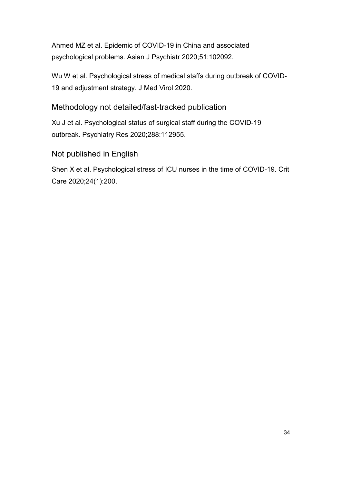Ahmed MZ et al. Epidemic of COVID-19 in China and associated psychological problems. Asian J Psychiatr 2020;51:102092.

Wu W et al. Psychological stress of medical staffs during outbreak of COVID-19 and adjustment strategy. J Med Virol 2020.

#### Methodology not detailed/fast-tracked publication

Xu J et al. Psychological status of surgical staff during the COVID-19 outbreak. Psychiatry Res 2020;288:112955.

#### Not published in English

Shen X et al. Psychological stress of ICU nurses in the time of COVID-19. Crit Care 2020;24(1):200.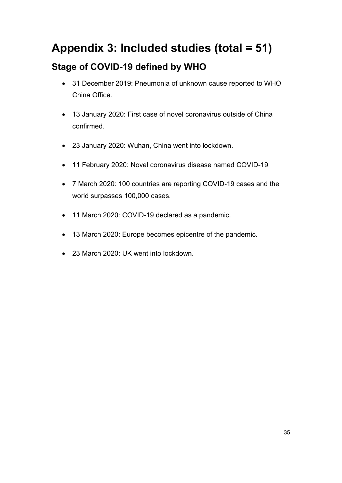# **Appendix 3: Included studies (total = 51) Stage of COVID-19 defined by WHO**

- 31 December 2019: Pneumonia of unknown cause reported to WHO China Office.
- 13 January 2020: First case of novel coronavirus outside of China confirmed.
- 23 January 2020: Wuhan, China went into lockdown.
- 11 February 2020: Novel coronavirus disease named COVID-19
- 7 March 2020: 100 countries are reporting COVID-19 cases and the world surpasses 100,000 cases.
- 11 March 2020: COVID-19 declared as a pandemic.
- 13 March 2020: Europe becomes epicentre of the pandemic.
- 23 March 2020: UK went into lockdown.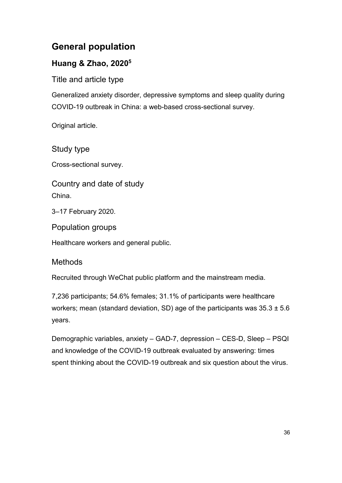# **General population**

# **Huang & Zhao, 20205**

Title and article type

Generalized anxiety disorder, depressive symptoms and sleep quality during COVID-19 outbreak in China: a web-based cross-sectional survey.

Original article.

# Study type

Cross-sectional survey.

Country and date of study China.

3–17 February 2020.

Population groups

Healthcare workers and general public.

# Methods

Recruited through WeChat public platform and the mainstream media.

7,236 participants; 54.6% females; 31.1% of participants were healthcare workers; mean (standard deviation, SD) age of the participants was  $35.3 \pm 5.6$ years.

Demographic variables, anxiety – GAD-7, depression – CES-D, Sleep – PSQI and knowledge of the COVID-19 outbreak evaluated by answering: times spent thinking about the COVID-19 outbreak and six question about the virus.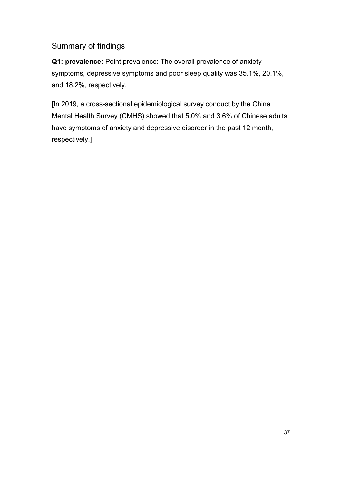# Summary of findings

**Q1: prevalence:** Point prevalence: The overall prevalence of anxiety symptoms, depressive symptoms and poor sleep quality was 35.1%, 20.1%, and 18.2%, respectively.

[In 2019, a cross-sectional epidemiological survey conduct by the China Mental Health Survey (CMHS) showed that 5.0% and 3.6% of Chinese adults have symptoms of anxiety and depressive disorder in the past 12 month, respectively.]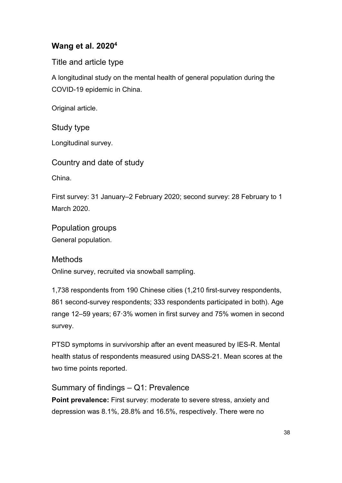# **Wang et al. 20204**

Title and article type

A longitudinal study on the mental health of general population during the COVID-19 epidemic in China.

Original article.

Study type

Longitudinal survey.

Country and date of study

China.

First survey: 31 January–2 February 2020; second survey: 28 February to 1 March 2020.

Population groups General population.

## Methods

Online survey, recruited via snowball sampling.

1,738 respondents from 190 Chinese cities (1,210 first-survey respondents, 861 second-survey respondents; 333 respondents participated in both). Age range 12–59 years; 67·3% women in first survey and 75% women in second survey.

PTSD symptoms in survivorship after an event measured by IES-R. Mental health status of respondents measured using DASS-21. Mean scores at the two time points reported.

Summary of findings – Q1: Prevalence

**Point prevalence:** First survey: moderate to severe stress, anxiety and depression was 8.1%, 28.8% and 16.5%, respectively. There were no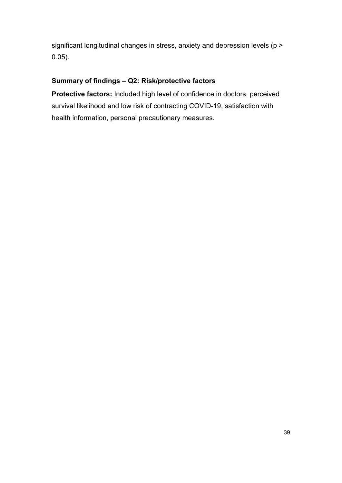significant longitudinal changes in stress, anxiety and depression levels (p > 0.05).

#### **Summary of findings – Q2: Risk/protective factors**

**Protective factors:** Included high level of confidence in doctors, perceived survival likelihood and low risk of contracting COVID-19, satisfaction with health information, personal precautionary measures.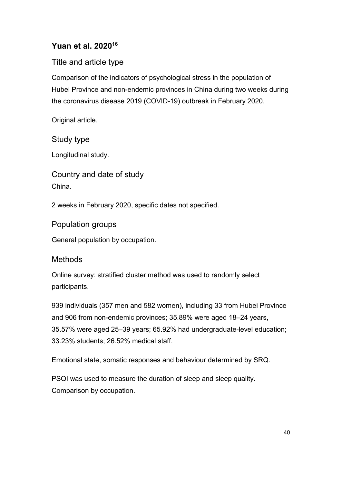# **Yuan et al. 202016**

# Title and article type

Comparison of the indicators of psychological stress in the population of Hubei Province and non-endemic provinces in China during two weeks during the coronavirus disease 2019 (COVID-19) outbreak in February 2020.

Original article.

Study type

Longitudinal study.

Country and date of study China.

2 weeks in February 2020, specific dates not specified.

Population groups

General population by occupation.

# **Methods**

Online survey: stratified cluster method was used to randomly select participants.

939 individuals (357 men and 582 women), including 33 from Hubei Province and 906 from non-endemic provinces; 35.89% were aged 18–24 years, 35.57% were aged 25–39 years; 65.92% had undergraduate-level education; 33.23% students; 26.52% medical staff.

Emotional state, somatic responses and behaviour determined by SRQ.

PSQI was used to measure the duration of sleep and sleep quality. Comparison by occupation.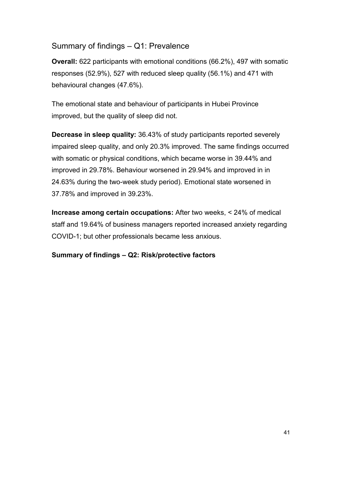## Summary of findings – Q1: Prevalence

**Overall:** 622 participants with emotional conditions (66.2%), 497 with somatic responses (52.9%), 527 with reduced sleep quality (56.1%) and 471 with behavioural changes (47.6%).

The emotional state and behaviour of participants in Hubei Province improved, but the quality of sleep did not.

**Decrease in sleep quality:** 36.43% of study participants reported severely impaired sleep quality, and only 20.3% improved. The same findings occurred with somatic or physical conditions, which became worse in 39.44% and improved in 29.78%. Behaviour worsened in 29.94% and improved in in 24.63% during the two-week study period). Emotional state worsened in 37.78% and improved in 39.23%.

**Increase among certain occupations:** After two weeks, < 24% of medical staff and 19.64% of business managers reported increased anxiety regarding COVID-1; but other professionals became less anxious.

#### **Summary of findings – Q2: Risk/protective factors**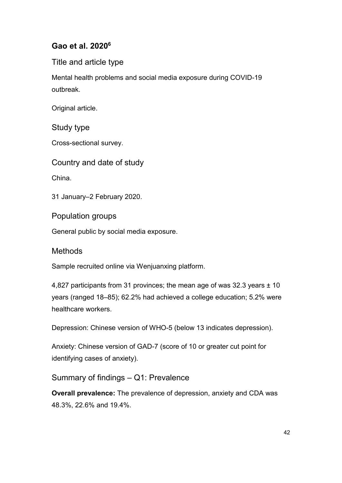# **Gao et al. 20206**

Title and article type

Mental health problems and social media exposure during COVID-19 outbreak.

Original article.

Study type

Cross-sectional survey.

Country and date of study

China.

31 January–2 February 2020.

Population groups

General public by social media exposure.

**Methods** 

Sample recruited online via Wenjuanxing platform.

4,827 participants from 31 provinces; the mean age of was 32.3 years ± 10 years (ranged 18–85); 62.2% had achieved a college education; 5.2% were healthcare workers.

Depression: Chinese version of WHO-5 (below 13 indicates depression).

Anxiety: Chinese version of GAD-7 (score of 10 or greater cut point for identifying cases of anxiety).

Summary of findings – Q1: Prevalence

**Overall prevalence:** The prevalence of depression, anxiety and CDA was 48.3%, 22.6% and 19.4%.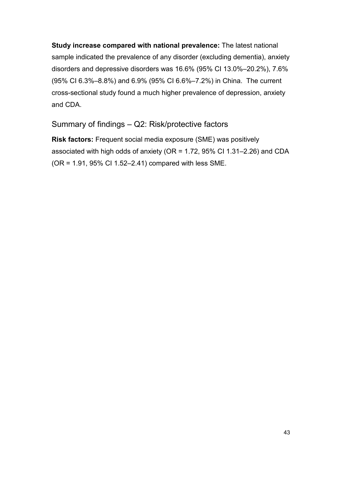**Study increase compared with national prevalence:** The latest national sample indicated the prevalence of any disorder (excluding dementia), anxiety disorders and depressive disorders was 16.6% (95% CI 13.0%–20.2%), 7.6% (95% CI 6.3%–8.8%) and 6.9% (95% CI 6.6%–7.2%) in China. The current cross-sectional study found a much higher prevalence of depression, anxiety and CDA.

Summary of findings – Q2: Risk/protective factors

**Risk factors:** Frequent social media exposure (SME) was positively associated with high odds of anxiety (OR = 1.72, 95% CI 1.31–2.26) and CDA (OR = 1.91, 95% CI 1.52–2.41) compared with less SME.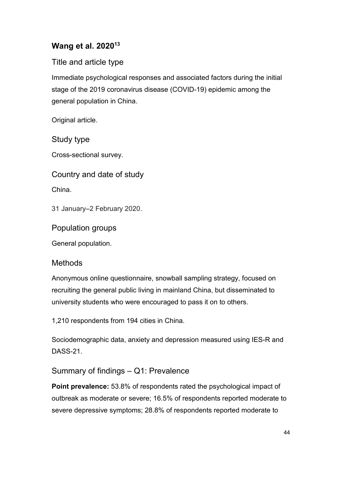# **Wang et al. 202013**

# Title and article type

Immediate psychological responses and associated factors during the initial stage of the 2019 coronavirus disease (COVID-19) epidemic among the general population in China.

Original article.

Study type

Cross-sectional survey.

Country and date of study

China.

31 January–2 February 2020.

Population groups

General population.

## **Methods**

Anonymous online questionnaire, snowball sampling strategy, focused on recruiting the general public living in mainland China, but disseminated to university students who were encouraged to pass it on to others.

1,210 respondents from 194 cities in China.

Sociodemographic data, anxiety and depression measured using IES-R and DASS-21.

Summary of findings – Q1: Prevalence

**Point prevalence:** 53.8% of respondents rated the psychological impact of outbreak as moderate or severe; 16.5% of respondents reported moderate to severe depressive symptoms; 28.8% of respondents reported moderate to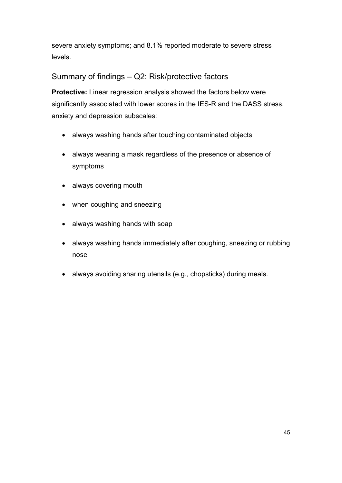severe anxiety symptoms; and 8.1% reported moderate to severe stress levels.

# Summary of findings – Q2: Risk/protective factors

**Protective:** Linear regression analysis showed the factors below were significantly associated with lower scores in the IES-R and the DASS stress, anxiety and depression subscales:

- always washing hands after touching contaminated objects
- always wearing a mask regardless of the presence or absence of symptoms
- always covering mouth
- when coughing and sneezing
- always washing hands with soap
- always washing hands immediately after coughing, sneezing or rubbing nose
- always avoiding sharing utensils (e.g., chopsticks) during meals.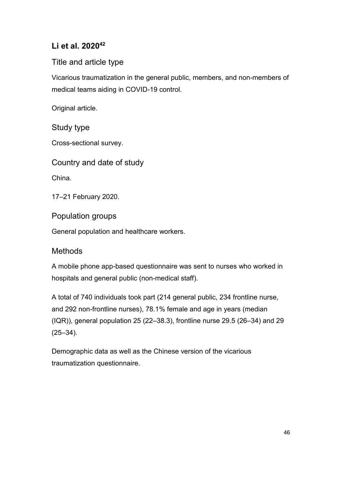# **Li et al. 202042**

# Title and article type

Vicarious traumatization in the general public, members, and non-members of medical teams aiding in COVID-19 control.

Original article.

## Study type

Cross-sectional survey.

Country and date of study

China.

17–21 February 2020.

Population groups

General population and healthcare workers.

## **Methods**

A mobile phone app-based questionnaire was sent to nurses who worked in hospitals and general public (non-medical staff).

A total of 740 individuals took part (214 general public, 234 frontline nurse, and 292 non-frontline nurses), 78.1% female and age in years (median (IQR)), general population 25 (22–38.3), frontline nurse 29.5 (26–34) and 29 (25–34).

Demographic data as well as the Chinese version of the vicarious traumatization questionnaire.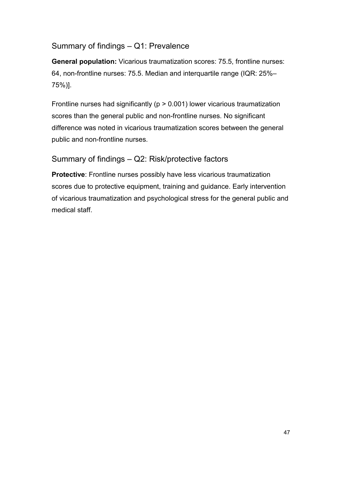## Summary of findings – Q1: Prevalence

**General population:** Vicarious traumatization scores: 75.5, frontline nurses: 64, non-frontline nurses: 75.5. Median and interquartile range (IQR: 25%– 75%)].

Frontline nurses had significantly ( $p > 0.001$ ) lower vicarious traumatization scores than the general public and non-frontline nurses. No significant difference was noted in vicarious traumatization scores between the general public and non-frontline nurses.

## Summary of findings – Q2: Risk/protective factors

**Protective**: Frontline nurses possibly have less vicarious traumatization scores due to protective equipment, training and guidance. Early intervention of vicarious traumatization and psychological stress for the general public and medical staff.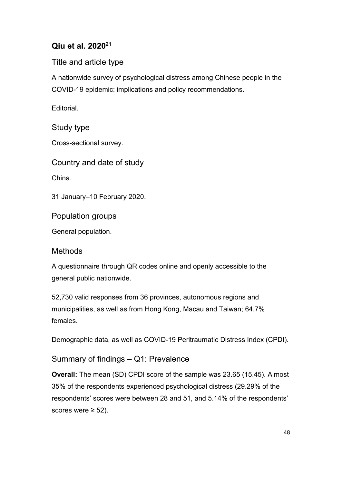# **Qiu et al. 202021**

Title and article type

A nationwide survey of psychological distress among Chinese people in the COVID-19 epidemic: implications and policy recommendations.

**Editorial** 

Study type

Cross-sectional survey.

Country and date of study

China.

31 January–10 February 2020.

Population groups

General population.

## **Methods**

A questionnaire through QR codes online and openly accessible to the general public nationwide.

52,730 valid responses from 36 provinces, autonomous regions and municipalities, as well as from Hong Kong, Macau and Taiwan; 64.7% females.

Demographic data, as well as COVID-19 Peritraumatic Distress Index (CPDI).

Summary of findings – Q1: Prevalence

**Overall:** The mean (SD) CPDI score of the sample was 23.65 (15.45). Almost 35% of the respondents experienced psychological distress (29.29% of the respondents' scores were between 28 and 51, and 5.14% of the respondents' scores were  $\geq$  52).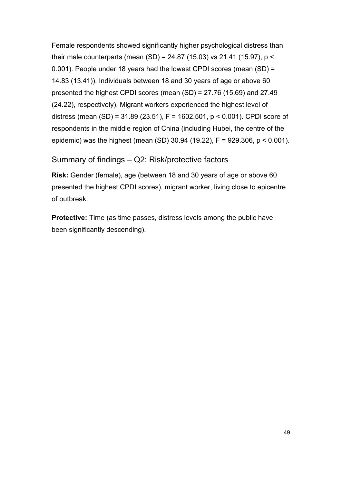Female respondents showed significantly higher psychological distress than their male counterparts (mean (SD) = 24.87 (15.03) vs 21.41 (15.97), p < 0.001). People under 18 years had the lowest CPDI scores (mean (SD) = 14.83 (13.41)). Individuals between 18 and 30 years of age or above 60 presented the highest CPDI scores (mean (SD) = 27.76 (15.69) and 27.49 (24.22), respectively). Migrant workers experienced the highest level of distress (mean (SD) = 31.89 (23.51), F = 1602.501, p < 0.001). CPDI score of respondents in the middle region of China (including Hubei, the centre of the epidemic) was the highest (mean (SD) 30.94 (19.22), F = 929.306, p < 0.001).

## Summary of findings – Q2: Risk/protective factors

**Risk:** Gender (female), age (between 18 and 30 years of age or above 60 presented the highest CPDI scores), migrant worker, living close to epicentre of outbreak.

**Protective:** Time (as time passes, distress levels among the public have been significantly descending).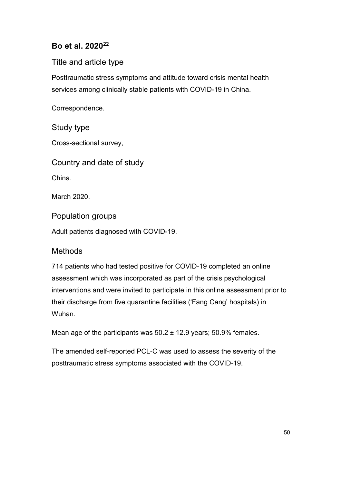# **Bo et al. 202022**

## Title and article type

Posttraumatic stress symptoms and attitude toward crisis mental health services among clinically stable patients with COVID-19 in China.

Correspondence.

## Study type

Cross-sectional survey,

Country and date of study

China.

March 2020.

Population groups

Adult patients diagnosed with COVID-19.

## **Methods**

714 patients who had tested positive for COVID-19 completed an online assessment which was incorporated as part of the crisis psychological interventions and were invited to participate in this online assessment prior to their discharge from five quarantine facilities ('Fang Cang' hospitals) in Wuhan.

Mean age of the participants was 50.2 ± 12.9 years; 50.9% females.

The amended self-reported PCL-C was used to assess the severity of the posttraumatic stress symptoms associated with the COVID-19.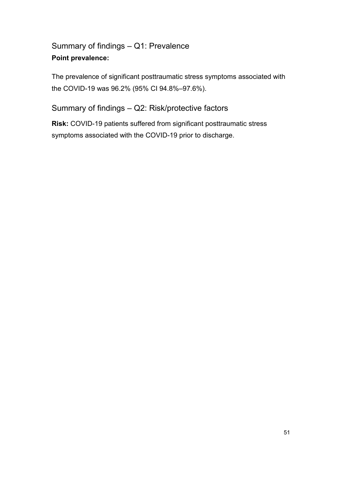# Summary of findings – Q1: Prevalence **Point prevalence:**

The prevalence of significant posttraumatic stress symptoms associated with the COVID-19 was 96.2% (95% CI 94.8%–97.6%).

Summary of findings – Q2: Risk/protective factors

**Risk:** COVID-19 patients suffered from significant posttraumatic stress symptoms associated with the COVID-19 prior to discharge.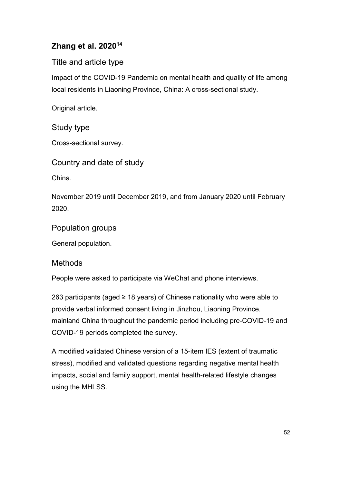# **Zhang et al. 202014**

# Title and article type

Impact of the COVID-19 Pandemic on mental health and quality of life among local residents in Liaoning Province, China: A cross-sectional study.

Original article.

# Study type

Cross-sectional survey.

Country and date of study

China.

November 2019 until December 2019, and from January 2020 until February 2020.

Population groups

General population.

## Methods

People were asked to participate via WeChat and phone interviews.

263 participants (aged ≥ 18 years) of Chinese nationality who were able to provide verbal informed consent living in Jinzhou, Liaoning Province, mainland China throughout the pandemic period including pre-COVID-19 and COVID-19 periods completed the survey.

A modified validated Chinese version of a 15-item IES (extent of traumatic stress), modified and validated questions regarding negative mental health impacts, social and family support, mental health-related lifestyle changes using the MHLSS.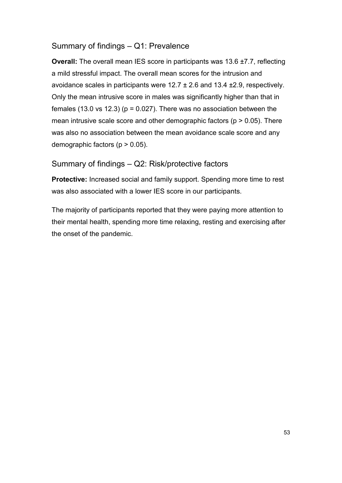## Summary of findings – Q1: Prevalence

**Overall:** The overall mean IES score in participants was 13.6 ±7.7, reflecting a mild stressful impact. The overall mean scores for the intrusion and avoidance scales in participants were 12.7 ± 2.6 and 13.4 ±2.9, respectively. Only the mean intrusive score in males was significantly higher than that in females (13.0 vs 12.3) ( $p = 0.027$ ). There was no association between the mean intrusive scale score and other demographic factors ( $p > 0.05$ ). There was also no association between the mean avoidance scale score and any demographic factors (p > 0.05).

## Summary of findings – Q2: Risk/protective factors

**Protective:** Increased social and family support. Spending more time to rest was also associated with a lower IES score in our participants.

The majority of participants reported that they were paying more attention to their mental health, spending more time relaxing, resting and exercising after the onset of the pandemic.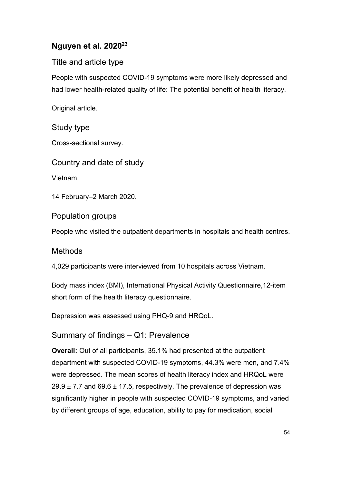# **Nguyen et al. 202023**

# Title and article type

People with suspected COVID-19 symptoms were more likely depressed and had lower health-related quality of life: The potential benefit of health literacy.

Original article.

## Study type

Cross-sectional survey.

Country and date of study

Vietnam.

14 February–2 March 2020.

Population groups

People who visited the outpatient departments in hospitals and health centres.

# **Methods**

4,029 participants were interviewed from 10 hospitals across Vietnam.

Body mass index (BMI), International Physical Activity Questionnaire,12-item short form of the health literacy questionnaire.

Depression was assessed using PHQ-9 and HRQoL.

# Summary of findings – Q1: Prevalence

**Overall:** Out of all participants, 35.1% had presented at the outpatient department with suspected COVID-19 symptoms, 44.3% were men, and 7.4% were depressed. The mean scores of health literacy index and HRQoL were  $29.9 \pm 7.7$  and 69.6  $\pm$  17.5, respectively. The prevalence of depression was significantly higher in people with suspected COVID-19 symptoms, and varied by different groups of age, education, ability to pay for medication, social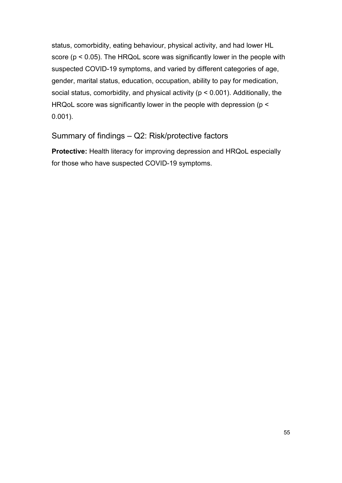status, comorbidity, eating behaviour, physical activity, and had lower HL score (p < 0.05). The HRQoL score was significantly lower in the people with suspected COVID-19 symptoms, and varied by different categories of age, gender, marital status, education, occupation, ability to pay for medication, social status, comorbidity, and physical activity (p < 0.001). Additionally, the HRQoL score was significantly lower in the people with depression (p < 0.001).

## Summary of findings – Q2: Risk/protective factors

**Protective:** Health literacy for improving depression and HRQoL especially for those who have suspected COVID-19 symptoms.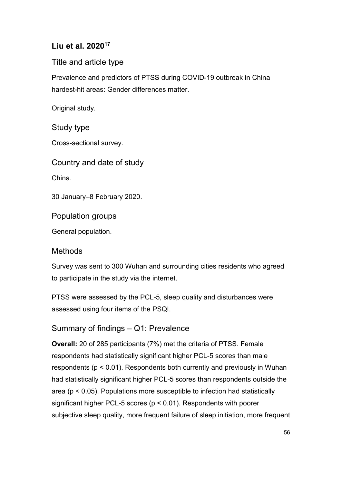# **Liu et al. 202017**

Title and article type

Prevalence and predictors of PTSS during COVID-19 outbreak in China hardest-hit areas: Gender differences matter.

Original study.

## Study type

Cross-sectional survey.

Country and date of study

China.

30 January–8 February 2020.

Population groups

General population.

## **Methods**

Survey was sent to 300 Wuhan and surrounding cities residents who agreed to participate in the study via the internet.

PTSS were assessed by the PCL-5, sleep quality and disturbances were assessed using four items of the PSQI.

# Summary of findings – Q1: Prevalence

**Overall:** 20 of 285 participants (7%) met the criteria of PTSS. Female respondents had statistically significant higher PCL-5 scores than male respondents (p < 0.01). Respondents both currently and previously in Wuhan had statistically significant higher PCL-5 scores than respondents outside the area (p < 0.05). Populations more susceptible to infection had statistically significant higher PCL-5 scores (p < 0.01). Respondents with poorer subjective sleep quality, more frequent failure of sleep initiation, more frequent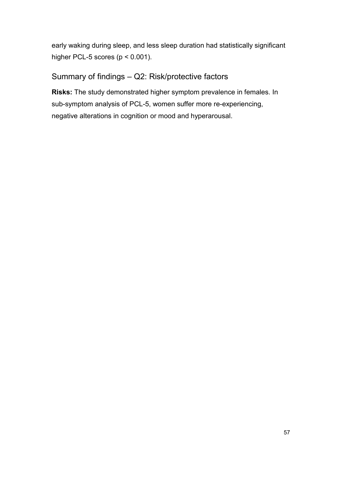early waking during sleep, and less sleep duration had statistically significant higher PCL-5 scores (p < 0.001).

# Summary of findings – Q2: Risk/protective factors

**Risks:** The study demonstrated higher symptom prevalence in females. In sub-symptom analysis of PCL-5, women suffer more re-experiencing, negative alterations in cognition or mood and hyperarousal.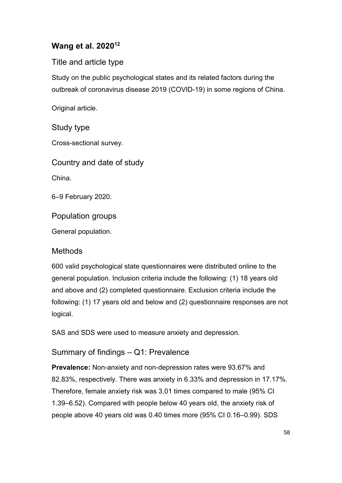# **Wang et al. 202012**

# Title and article type

Study on the public psychological states and its related factors during the outbreak of coronavirus disease 2019 (COVID-19) in some regions of China.

Original article.

# Study type

Cross-sectional survey.

Country and date of study

China.

6–9 February 2020.

Population groups

General population.

# **Methods**

600 valid psychological state questionnaires were distributed online to the general population. Inclusion criteria include the following: (1) 18 years old and above and (2) completed questionnaire. Exclusion criteria include the following: (1) 17 years old and below and (2) questionnaire responses are not logical.

SAS and SDS were used to measure anxiety and depression.

Summary of findings – Q1: Prevalence

**Prevalence:** Non-anxiety and non-depression rates were 93.67% and 82.83%, respectively. There was anxiety in 6.33% and depression in 17.17%. Therefore, female anxiety risk was 3.01 times compared to male (95% CI 1.39–6.52). Compared with people below 40 years old, the anxiety risk of people above 40 years old was 0.40 times more (95% CI 0.16–0.99). SDS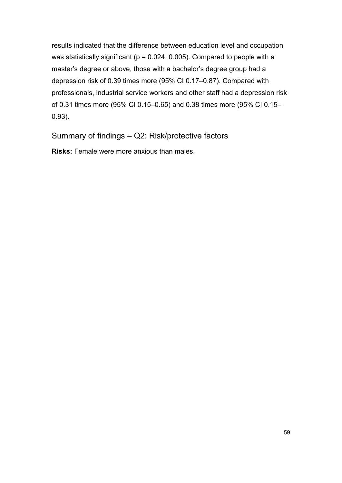results indicated that the difference between education level and occupation was statistically significant ( $p = 0.024$ , 0.005). Compared to people with a master's degree or above, those with a bachelor's degree group had a depression risk of 0.39 times more (95% CI 0.17–0.87). Compared with professionals, industrial service workers and other staff had a depression risk of 0.31 times more (95% CI 0.15–0.65) and 0.38 times more (95% CI 0.15– 0.93).

Summary of findings – Q2: Risk/protective factors

**Risks:** Female were more anxious than males.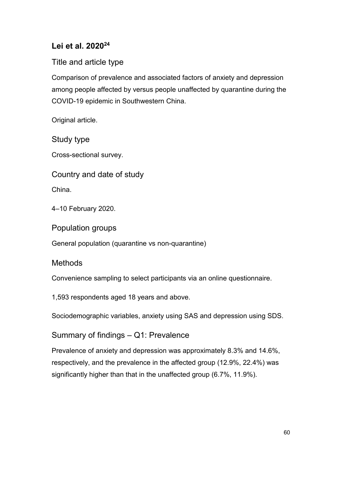# **Lei et al. 202024**

## Title and article type

Comparison of prevalence and associated factors of anxiety and depression among people affected by versus people unaffected by quarantine during the COVID-19 epidemic in Southwestern China.

Original article.

Study type

Cross-sectional survey.

Country and date of study

China.

4–10 February 2020.

Population groups

General population (quarantine vs non-quarantine)

## **Methods**

Convenience sampling to select participants via an online questionnaire.

1,593 respondents aged 18 years and above.

Sociodemographic variables, anxiety using SAS and depression using SDS.

Summary of findings – Q1: Prevalence

Prevalence of anxiety and depression was approximately 8.3% and 14.6%, respectively, and the prevalence in the affected group (12.9%, 22.4%) was significantly higher than that in the unaffected group (6.7%, 11.9%).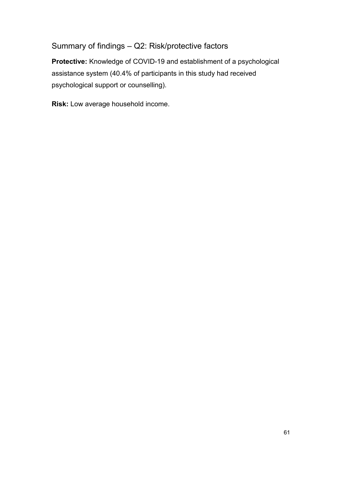# Summary of findings – Q2: Risk/protective factors

**Protective:** Knowledge of COVID-19 and establishment of a psychological assistance system (40.4% of participants in this study had received psychological support or counselling).

**Risk:** Low average household income.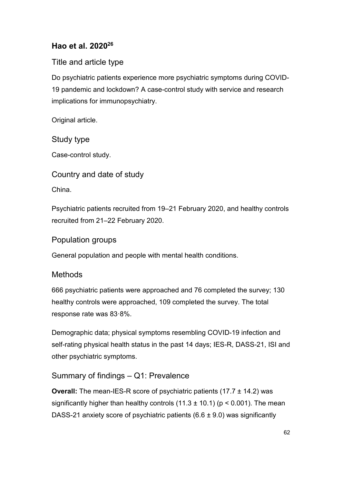# **Hao et al. 202026**

# Title and article type

Do psychiatric patients experience more psychiatric symptoms during COVID-19 pandemic and lockdown? A case-control study with service and research implications for immunopsychiatry.

Original article.

Study type

Case-control study.

Country and date of study

China.

Psychiatric patients recruited from 19–21 February 2020, and healthy controls recruited from 21–22 February 2020.

## Population groups

General population and people with mental health conditions.

# **Methods**

666 psychiatric patients were approached and 76 completed the survey; 130 healthy controls were approached, 109 completed the survey. The total response rate was 83·8%.

Demographic data; physical symptoms resembling COVID-19 infection and self-rating physical health status in the past 14 days; IES-R, DASS-21, ISI and other psychiatric symptoms.

# Summary of findings – Q1: Prevalence

**Overall:** The mean-IES-R score of psychiatric patients (17.7 ± 14.2) was significantly higher than healthy controls  $(11.3 \pm 10.1)$  (p < 0.001). The mean DASS-21 anxiety score of psychiatric patients  $(6.6 \pm 9.0)$  was significantly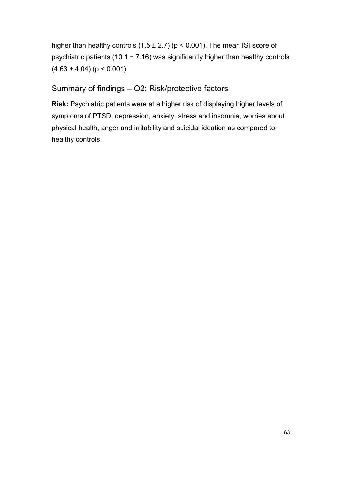higher than healthy controls  $(1.5 \pm 2.7)$  (p < 0.001). The mean ISI score of psychiatric patients (10.1  $\pm$  7.16) was significantly higher than healthy controls  $(4.63 \pm 4.04)$  (p < 0.001).

# Summary of findings – Q2: Risk/protective factors

**Risk:** Psychiatric patients were at a higher risk of displaying higher levels of symptoms of PTSD, depression, anxiety, stress and insomnia, worries about physical health, anger and irritability and suicidal ideation as compared to healthy controls.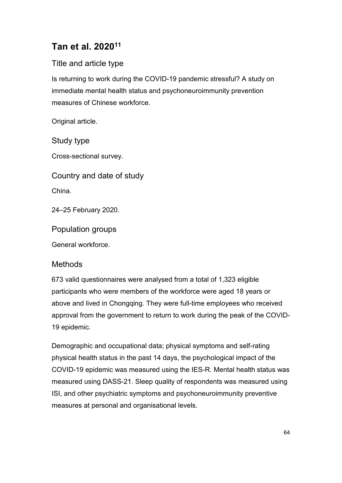# **Tan et al. 202011**

# Title and article type

Is returning to work during the COVID-19 pandemic stressful? A study on immediate mental health status and psychoneuroimmunity prevention measures of Chinese workforce.

Original article.

Study type

Cross-sectional survey.

Country and date of study

China.

24–25 February 2020.

Population groups

General workforce.

## Methods

673 valid questionnaires were analysed from a total of 1,323 eligible participants who were members of the workforce were aged 18 years or above and lived in Chongqing. They were full-time employees who received approval from the government to return to work during the peak of the COVID-19 epidemic.

Demographic and occupational data; physical symptoms and self-rating physical health status in the past 14 days, the psychological impact of the COVID-19 epidemic was measured using the IES-R. Mental health status was measured using DASS-21. Sleep quality of respondents was measured using ISI, and other psychiatric symptoms and psychoneuroimmunity preventive measures at personal and organisational levels.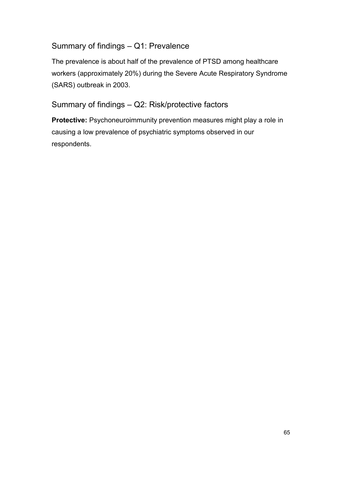## Summary of findings – Q1: Prevalence

The prevalence is about half of the prevalence of PTSD among healthcare workers (approximately 20%) during the Severe Acute Respiratory Syndrome (SARS) outbreak in 2003.

# Summary of findings – Q2: Risk/protective factors

**Protective:** Psychoneuroimmunity prevention measures might play a role in causing a low prevalence of psychiatric symptoms observed in our respondents.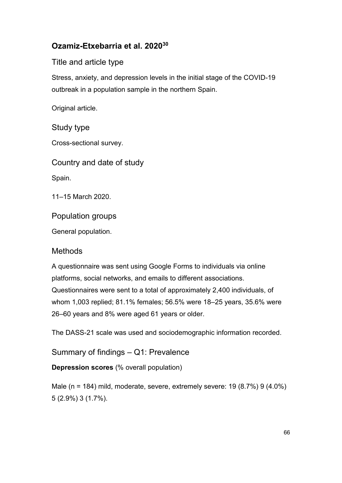# **Ozamiz-Etxebarria et al. 202030**

# Title and article type

Stress, anxiety, and depression levels in the initial stage of the COVID-19 outbreak in a population sample in the northern Spain.

Original article.

## Study type

Cross-sectional survey.

Country and date of study

Spain.

11–15 March 2020.

## Population groups

General population.

# **Methods**

A questionnaire was sent using Google Forms to individuals via online platforms, social networks, and emails to different associations. Questionnaires were sent to a total of approximately 2,400 individuals, of whom 1,003 replied; 81.1% females; 56.5% were 18–25 years, 35.6% were 26–60 years and 8% were aged 61 years or older.

The DASS-21 scale was used and sociodemographic information recorded.

Summary of findings – Q1: Prevalence

**Depression scores** (% overall population)

Male (n = 184) mild, moderate, severe, extremely severe: 19 (8.7%) 9 (4.0%) 5 (2.9%) 3 (1.7%).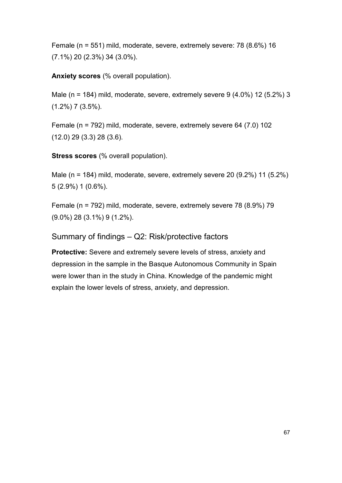Female (n = 551) mild, moderate, severe, extremely severe: 78 (8.6%) 16 (7.1%) 20 (2.3%) 34 (3.0%).

**Anxiety scores** (% overall population).

Male (n = 184) mild, moderate, severe, extremely severe  $9(4.0\%)$  12 (5.2%) 3 (1.2%) 7 (3.5%).

Female (n = 792) mild, moderate, severe, extremely severe 64 (7.0) 102 (12.0) 29 (3.3) 28 (3.6).

**Stress scores** (% overall population).

Male (n = 184) mild, moderate, severe, extremely severe 20 (9.2%) 11 (5.2%) 5 (2.9%) 1 (0.6%).

Female (n = 792) mild, moderate, severe, extremely severe 78 (8.9%) 79 (9.0%) 28 (3.1%) 9 (1.2%).

#### Summary of findings – Q2: Risk/protective factors

**Protective:** Severe and extremely severe levels of stress, anxiety and depression in the sample in the Basque Autonomous Community in Spain were lower than in the study in China. Knowledge of the pandemic might explain the lower levels of stress, anxiety, and depression.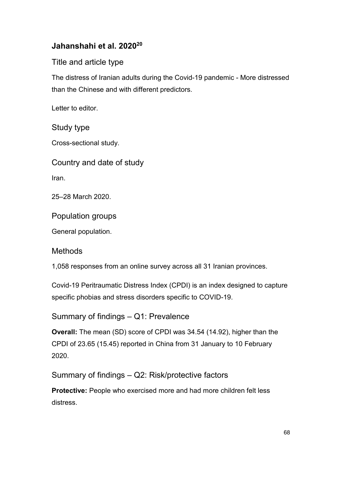# **Jahanshahi et al. 202020**

## Title and article type

The distress of Iranian adults during the Covid-19 pandemic - More distressed than the Chinese and with different predictors.

Letter to editor.

## Study type

Cross-sectional study.

Country and date of study

Iran.

25–28 March 2020.

Population groups

General population.

## **Methods**

1,058 responses from an online survey across all 31 Iranian provinces.

Covid-19 Peritraumatic Distress Index (CPDI) is an index designed to capture specific phobias and stress disorders specific to COVID-19.

Summary of findings – Q1: Prevalence

**Overall:** The mean (SD) score of CPDI was 34.54 (14.92), higher than the CPDI of 23.65 (15.45) reported in China from 31 January to 10 February 2020.

Summary of findings – Q2: Risk/protective factors

**Protective:** People who exercised more and had more children felt less distress.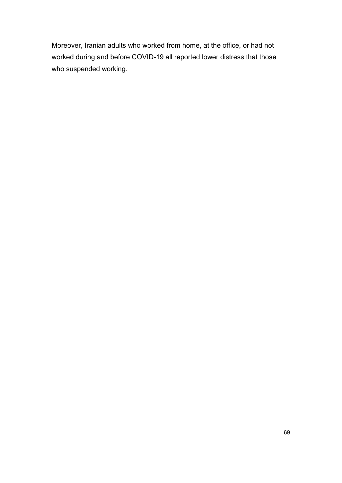Moreover, Iranian adults who worked from home, at the office, or had not worked during and before COVID-19 all reported lower distress that those who suspended working.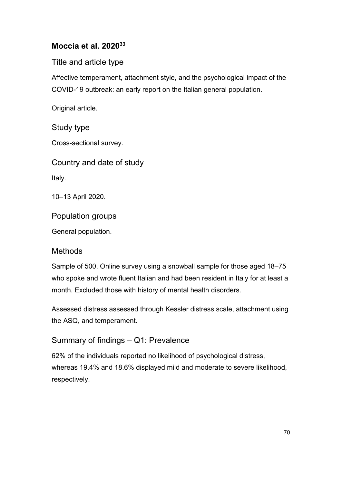# **Moccia et al. 202033**

Title and article type

Affective temperament, attachment style, and the psychological impact of the COVID-19 outbreak: an early report on the Italian general population.

Original article.

# Study type

Cross-sectional survey.

Country and date of study

Italy.

10–13 April 2020.

Population groups

General population.

# **Methods**

Sample of 500. Online survey using a snowball sample for those aged 18–75 who spoke and wrote fluent Italian and had been resident in Italy for at least a month. Excluded those with history of mental health disorders.

Assessed distress assessed through Kessler distress scale, attachment using the ASQ, and temperament.

# Summary of findings – Q1: Prevalence

62% of the individuals reported no likelihood of psychological distress, whereas 19.4% and 18.6% displayed mild and moderate to severe likelihood, respectively.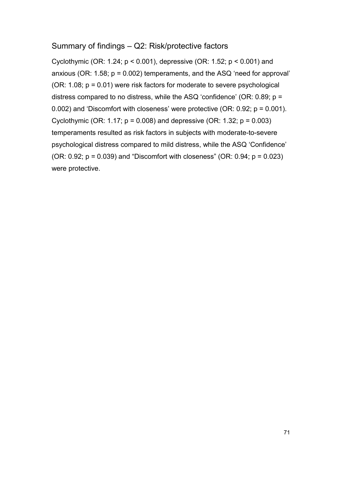#### Summary of findings – Q2: Risk/protective factors

Cyclothymic (OR: 1.24; p < 0.001), depressive (OR: 1.52; p < 0.001) and anxious (OR: 1.58; p = 0.002) temperaments, and the ASQ 'need for approval' (OR:  $1.08$ ;  $p = 0.01$ ) were risk factors for moderate to severe psychological distress compared to no distress, while the ASQ 'confidence' (OR: 0.89; p = 0.002) and 'Discomfort with closeness' were protective (OR: 0.92; p = 0.001). Cyclothymic (OR: 1.17;  $p = 0.008$ ) and depressive (OR: 1.32;  $p = 0.003$ ) temperaments resulted as risk factors in subjects with moderate-to-severe psychological distress compared to mild distress, while the ASQ 'Confidence' (OR:  $0.92$ ;  $p = 0.039$ ) and "Discomfort with closeness" (OR:  $0.94$ ;  $p = 0.023$ ) were protective.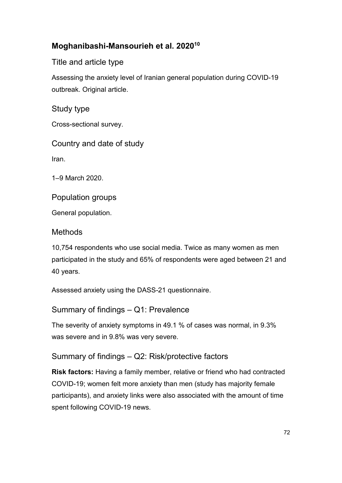## **Moghanibashi-Mansourieh et al. 202010**

Title and article type

Assessing the anxiety level of Iranian general population during COVID-19 outbreak. Original article.

Study type

Cross-sectional survey.

Country and date of study

Iran.

1–9 March 2020.

Population groups

General population.

#### **Methods**

10,754 respondents who use social media. Twice as many women as men participated in the study and 65% of respondents were aged between 21 and 40 years.

Assessed anxiety using the DASS-21 questionnaire.

Summary of findings – Q1: Prevalence

The severity of anxiety symptoms in 49.1 % of cases was normal, in 9.3% was severe and in 9.8% was very severe.

## Summary of findings – Q2: Risk/protective factors

**Risk factors:** Having a family member, relative or friend who had contracted COVID-19; women felt more anxiety than men (study has majority female participants), and anxiety links were also associated with the amount of time spent following COVID-19 news.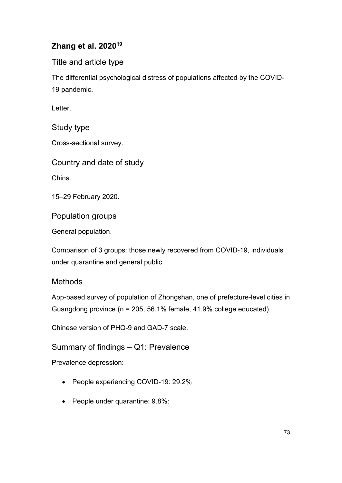# **Zhang et al. 202019**

Title and article type

The differential psychological distress of populations affected by the COVID-19 pandemic.

Letter.

Study type

Cross-sectional survey.

Country and date of study

China.

15–29 February 2020.

Population groups

General population.

Comparison of 3 groups: those newly recovered from COVID-19, individuals under quarantine and general public.

## **Methods**

App-based survey of population of Zhongshan, one of prefecture-level cities in Guangdong province (n = 205, 56.1% female, 41.9% college educated).

Chinese version of PHQ-9 and GAD-7 scale.

Summary of findings – Q1: Prevalence

Prevalence depression:

- People experiencing COVID-19: 29.2%
- People under quarantine: 9.8%: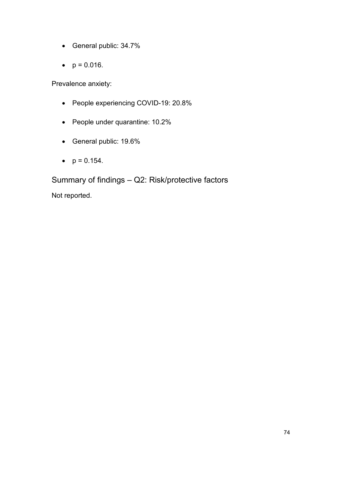- General public: 34.7%
- $p = 0.016$ .

Prevalence anxiety:

- People experiencing COVID-19: 20.8%
- People under quarantine: 10.2%
- General public: 19.6%
- $p = 0.154$ .

Summary of findings – Q2: Risk/protective factors Not reported.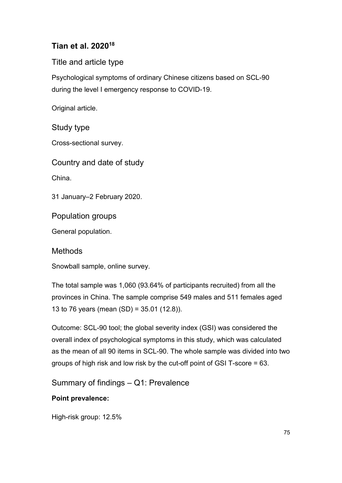# **Tian et al. 202018**

Title and article type

Psychological symptoms of ordinary Chinese citizens based on SCL-90 during the level I emergency response to COVID-19.

Original article.

## Study type

Cross-sectional survey.

Country and date of study

China.

31 January–2 February 2020.

Population groups

General population.

**Methods** 

Snowball sample, online survey.

The total sample was 1,060 (93.64% of participants recruited) from all the provinces in China. The sample comprise 549 males and 511 females aged 13 to 76 years (mean (SD) = 35.01 (12.8)).

Outcome: SCL-90 tool; the global severity index (GSI) was considered the overall index of psychological symptoms in this study, which was calculated as the mean of all 90 items in SCL-90. The whole sample was divided into two groups of high risk and low risk by the cut-off point of GSI T-score = 63.

Summary of findings – Q1: Prevalence

#### **Point prevalence:**

High-risk group: 12.5%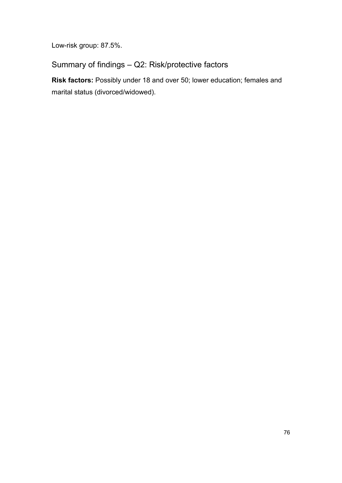Low-risk group: 87.5%.

Summary of findings – Q2: Risk/protective factors

**Risk factors:** Possibly under 18 and over 50; lower education; females and marital status (divorced/widowed).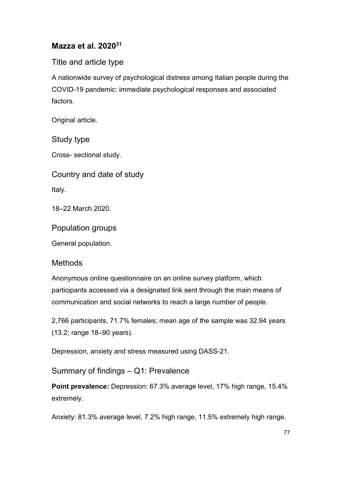#### **Mazza et al. 202031**

Title and article type

A nationwide survey of psychological distress among Italian people during the COVID-19 pandemic: immediate psychological responses and associated factors.

Original article.

Study type

Cross- sectional study.

Country and date of study

Italy.

18–22 March 2020.

Population groups

General population.

#### Methods

Anonymous online questionnaire on an online survey platform, which participants accessed via a designated link sent through the main means of communication and social networks to reach a large number of people.

2,766 participants, 71.7% females; mean age of the sample was 32.94 years (13.2; range 18–90 years).

Depression, anxiety and stress measured using DASS-21.

Summary of findings – Q1: Prevalence

**Point prevalence:** Depression: 67.3% average level, 17% high range, 15.4% extremely.

Anxiety: 81.3% average level, 7.2% high range, 11.5% extremely high range.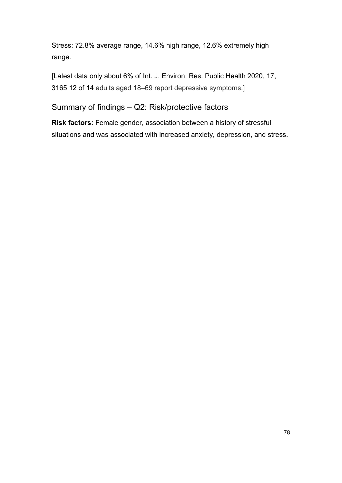Stress: 72.8% average range, 14.6% high range, 12.6% extremely high range.

[Latest data only about 6% of Int. J. Environ. Res. Public Health 2020, 17, 3165 12 of 14 adults aged 18–69 report depressive symptoms.]

Summary of findings – Q2: Risk/protective factors

**Risk factors:** Female gender, association between a history of stressful situations and was associated with increased anxiety, depression, and stress.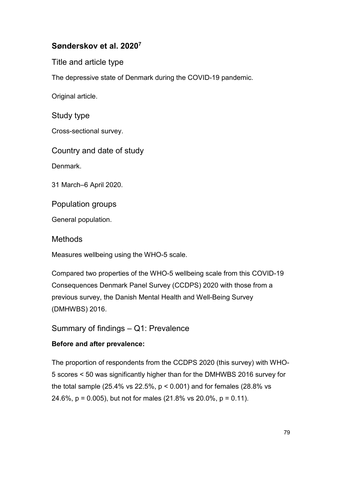## **Sønderskov et al. 20207**

Title and article type

The depressive state of Denmark during the COVID-19 pandemic.

Original article.

Study type

Cross-sectional survey.

Country and date of study

Denmark.

31 March–6 April 2020.

Population groups

General population.

**Methods** 

Measures wellbeing using the WHO-5 scale.

Compared two properties of the WHO-5 wellbeing scale from this COVID-19 Consequences Denmark Panel Survey (CCDPS) 2020 with those from a previous survey, the Danish Mental Health and Well-Being Survey (DMHWBS) 2016.

Summary of findings – Q1: Prevalence

#### **Before and after prevalence:**

The proportion of respondents from the CCDPS 2020 (this survey) with WHO-5 scores < 50 was significantly higher than for the DMHWBS 2016 survey for the total sample (25.4% vs 22.5%,  $p < 0.001$ ) and for females (28.8% vs 24.6%, p = 0.005), but not for males (21.8% vs 20.0%, p = 0.11).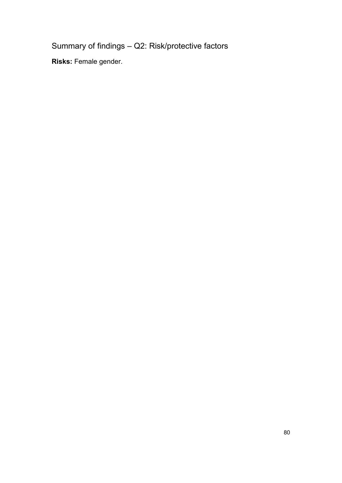Summary of findings – Q2: Risk/protective factors

**Risks:** Female gender.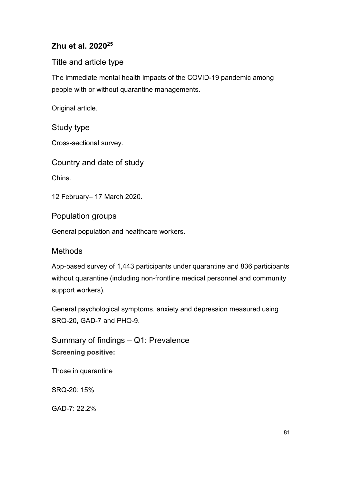# **Zhu et al. 202025**

#### Title and article type

The immediate mental health impacts of the COVID-19 pandemic among people with or without quarantine managements.

Original article.

#### Study type

Cross-sectional survey.

Country and date of study

China.

12 February– 17 March 2020.

Population groups

General population and healthcare workers.

#### **Methods**

App-based survey of 1,443 participants under quarantine and 836 participants without quarantine (including non-frontline medical personnel and community support workers).

General psychological symptoms, anxiety and depression measured using SRQ-20, GAD-7 and PHQ-9.

Summary of findings – Q1: Prevalence **Screening positive:**

Those in quarantine

SRQ-20: 15%

GAD-7: 22.2%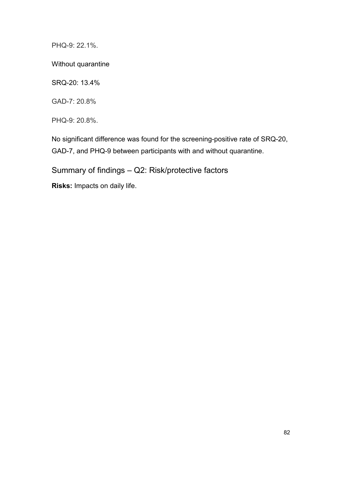PHQ-9: 22.1%.

Without quarantine

SRQ-20: 13.4%

GAD-7: 20.8%

PHQ-9: 20.8%.

No significant difference was found for the screening-positive rate of SRQ-20, GAD-7, and PHQ-9 between participants with and without quarantine.

Summary of findings – Q2: Risk/protective factors

**Risks:** Impacts on daily life.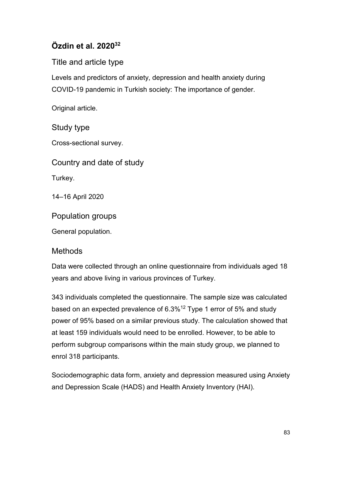# **Özdin et al. 202032**

Title and article type

Levels and predictors of anxiety, depression and health anxiety during COVID-19 pandemic in Turkish society: The importance of gender.

Original article.

## Study type

Cross-sectional survey.

Country and date of study

Turkey.

14–16 April 2020

Population groups

General population.

#### **Methods**

Data were collected through an online questionnaire from individuals aged 18 years and above living in various provinces of Turkey.

343 individuals completed the questionnaire. The sample size was calculated based on an expected prevalence of 6.3%12 Type 1 error of 5% and study power of 95% based on a similar previous study. The calculation showed that at least 159 individuals would need to be enrolled. However, to be able to perform subgroup comparisons within the main study group, we planned to enrol 318 participants.

Sociodemographic data form, anxiety and depression measured using Anxiety and Depression Scale (HADS) and Health Anxiety Inventory (HAI).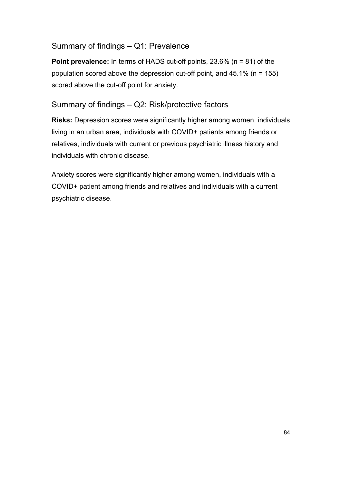#### Summary of findings – Q1: Prevalence

**Point prevalence:** In terms of HADS cut-off points, 23.6% (n = 81) of the population scored above the depression cut-off point, and  $45.1\%$  (n = 155) scored above the cut-off point for anxiety.

#### Summary of findings – Q2: Risk/protective factors

**Risks:** Depression scores were significantly higher among women, individuals living in an urban area, individuals with COVID+ patients among friends or relatives, individuals with current or previous psychiatric illness history and individuals with chronic disease.

Anxiety scores were significantly higher among women, individuals with a COVID+ patient among friends and relatives and individuals with a current psychiatric disease.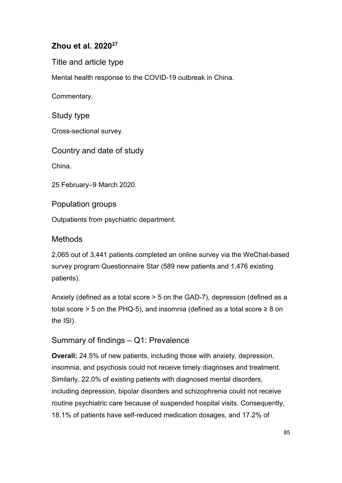## **Zhou et al. 202027**

Title and article type

Mental health response to the COVID-19 outbreak in China.

Commentary.

Study type

Cross-sectional survey.

Country and date of study

China.

25 February–9 March 2020.

Population groups

Outpatients from psychiatric department.

#### **Methods**

2,065 out of 3,441 patients completed an online survey via the WeChat-based survey program Questionnaire Star (589 new patients and 1,476 existing patients).

Anxiety (defined as a total score > 5 on the GAD-7), depression (defined as a total score > 5 on the PHQ-5), and insomnia (defined as a total score  $\geq 8$  on the ISI).

## Summary of findings – Q1: Prevalence

**Overall:** 24.5% of new patients, including those with anxiety, depression, insomnia, and psychosis could not receive timely diagnoses and treatment. Similarly, 22.0% of existing patients with diagnosed mental disorders, including depression, bipolar disorders and schizophrenia could not receive routine psychiatric care because of suspended hospital visits. Consequently, 18.1% of patients have self-reduced medication dosages, and 17.2% of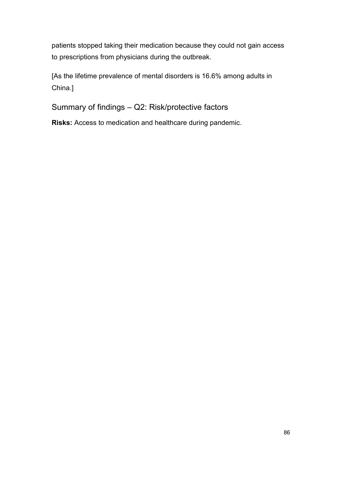patients stopped taking their medication because they could not gain access to prescriptions from physicians during the outbreak.

[As the lifetime prevalence of mental disorders is 16.6% among adults in China.]

Summary of findings – Q2: Risk/protective factors

**Risks:** Access to medication and healthcare during pandemic.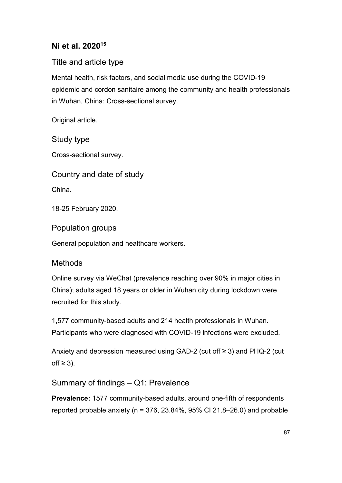## **Ni et al. 202015**

Title and article type

Mental health, risk factors, and social media use during the COVID-19 epidemic and cordon sanitaire among the community and health professionals in Wuhan, China: Cross-sectional survey.

Original article.

Study type

Cross-sectional survey.

Country and date of study

China.

18-25 February 2020.

Population groups

General population and healthcare workers.

## Methods

Online survey via WeChat (prevalence reaching over 90% in major cities in China); adults aged 18 years or older in Wuhan city during lockdown were recruited for this study.

1,577 community-based adults and 214 health professionals in Wuhan. Participants who were diagnosed with COVID-19 infections were excluded.

Anxiety and depression measured using GAD-2 (cut off ≥ 3) and PHQ-2 (cut  $off ≥ 3$ ).

## Summary of findings – Q1: Prevalence

**Prevalence:** 1577 community-based adults, around one-fifth of respondents reported probable anxiety ( $n = 376, 23.84\%$ , 95% CI 21.8–26.0) and probable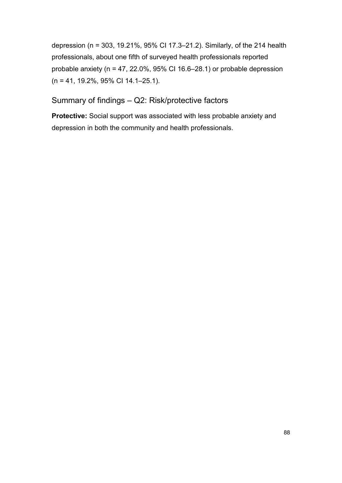depression (n = 303, 19.21%, 95% CI 17.3–21.2). Similarly, of the 214 health professionals, about one fifth of surveyed health professionals reported probable anxiety ( $n = 47, 22.0\%$ , 95% CI 16.6–28.1) or probable depression (n = 41, 19.2%, 95% CI 14.1–25.1).

## Summary of findings – Q2: Risk/protective factors

**Protective:** Social support was associated with less probable anxiety and depression in both the community and health professionals.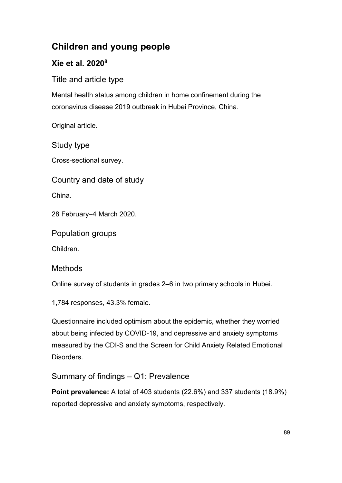# **Children and young people**

# **Xie et al. 20208**

Title and article type

Mental health status among children in home confinement during the coronavirus disease 2019 outbreak in Hubei Province, China.

Original article.

Study type

Cross-sectional survey.

Country and date of study

China.

28 February–4 March 2020.

Population groups

Children.

## Methods

Online survey of students in grades 2–6 in two primary schools in Hubei.

1,784 responses, 43.3% female.

Questionnaire included optimism about the epidemic, whether they worried about being infected by COVID-19, and depressive and anxiety symptoms measured by the CDI-S and the Screen for Child Anxiety Related Emotional Disorders.

## Summary of findings – Q1: Prevalence

**Point prevalence:** A total of 403 students (22.6%) and 337 students (18.9%) reported depressive and anxiety symptoms, respectively.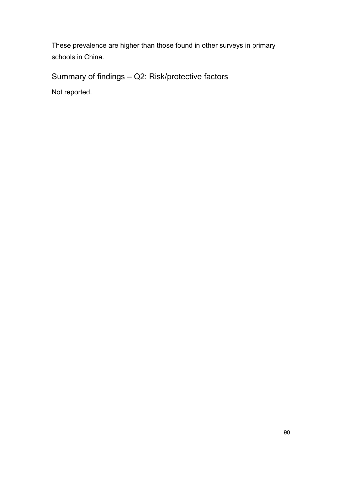These prevalence are higher than those found in other surveys in primary schools in China.

# Summary of findings – Q2: Risk/protective factors

Not reported.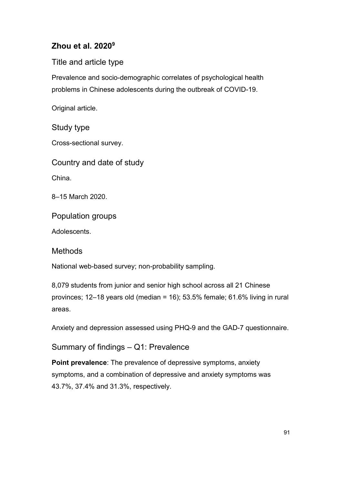# **Zhou et al. 20209**

Title and article type

Prevalence and socio-demographic correlates of psychological health problems in Chinese adolescents during the outbreak of COVID-19.

Original article.

Study type

Cross-sectional survey.

Country and date of study

China.

8–15 March 2020.

Population groups

Adolescents.

**Methods** 

National web-based survey; non-probability sampling.

8,079 students from junior and senior high school across all 21 Chinese provinces; 12–18 years old (median = 16); 53.5% female; 61.6% living in rural areas.

Anxiety and depression assessed using PHQ-9 and the GAD-7 questionnaire.

Summary of findings – Q1: Prevalence

**Point prevalence**: The prevalence of depressive symptoms, anxiety symptoms, and a combination of depressive and anxiety symptoms was 43.7%, 37.4% and 31.3%, respectively.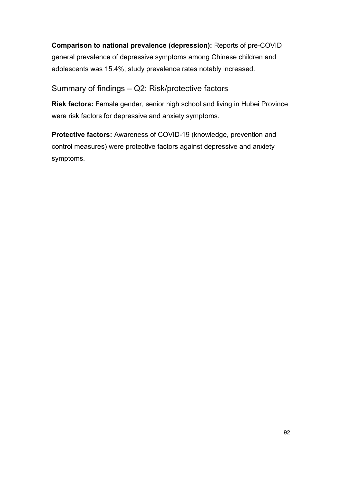**Comparison to national prevalence (depression):** Reports of pre-COVID general prevalence of depressive symptoms among Chinese children and adolescents was 15.4%; study prevalence rates notably increased.

#### Summary of findings – Q2: Risk/protective factors

**Risk factors:** Female gender, senior high school and living in Hubei Province were risk factors for depressive and anxiety symptoms.

**Protective factors:** Awareness of COVID-19 (knowledge, prevention and control measures) were protective factors against depressive and anxiety symptoms.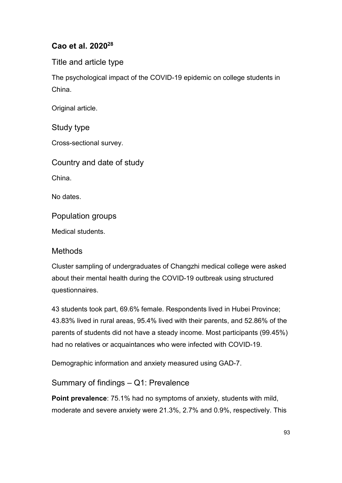# **Cao et al. 202028**

Title and article type

The psychological impact of the COVID-19 epidemic on college students in China.

Original article.

Study type

Cross-sectional survey.

Country and date of study

China.

No dates.

Population groups

Medical students.

#### **Methods**

Cluster sampling of undergraduates of Changzhi medical college were asked about their mental health during the COVID-19 outbreak using structured questionnaires.

43 students took part, 69.6% female. Respondents lived in Hubei Province; 43.83% lived in rural areas, 95.4% lived with their parents, and 52.86% of the parents of students did not have a steady income. Most participants (99.45%) had no relatives or acquaintances who were infected with COVID-19.

Demographic information and anxiety measured using GAD-7.

Summary of findings – Q1: Prevalence

**Point prevalence**: 75.1% had no symptoms of anxiety, students with mild, moderate and severe anxiety were 21.3%, 2.7% and 0.9%, respectively. This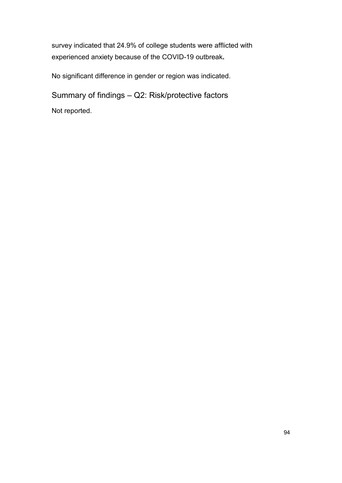survey indicated that 24.9% of college students were afflicted with experienced anxiety because of the COVID-19 outbreak**.** 

No significant difference in gender or region was indicated.

Summary of findings – Q2: Risk/protective factors Not reported.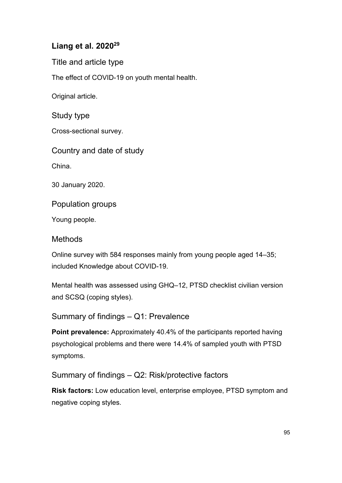## **Liang et al. 202029**

Title and article type

The effect of COVID-19 on youth mental health.

Original article.

Study type

Cross-sectional survey.

Country and date of study

China.

30 January 2020.

Population groups

Young people.

#### Methods

Online survey with 584 responses mainly from young people aged 14–35; included Knowledge about COVID-19.

Mental health was assessed using GHQ–12, PTSD checklist civilian version and SCSQ (coping styles).

Summary of findings – Q1: Prevalence

**Point prevalence:** Approximately 40.4% of the participants reported having psychological problems and there were 14.4% of sampled youth with PTSD symptoms.

Summary of findings – Q2: Risk/protective factors

**Risk factors:** Low education level, enterprise employee, PTSD symptom and negative coping styles.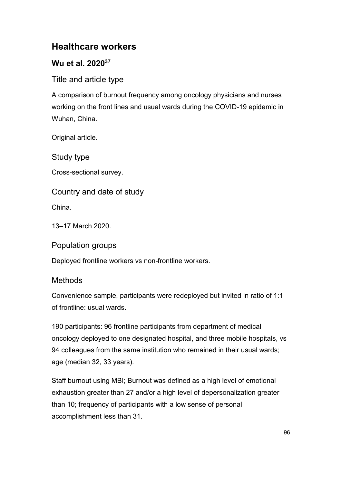# **Healthcare workers**

# **Wu et al. 202037**

Title and article type

A comparison of burnout frequency among oncology physicians and nurses working on the front lines and usual wards during the COVID-19 epidemic in Wuhan, China.

Original article.

Study type

Cross-sectional survey.

## Country and date of study

China.

13–17 March 2020.

Population groups

Deployed frontline workers vs non-frontline workers.

# Methods

Convenience sample, participants were redeployed but invited in ratio of 1:1 of frontline: usual wards.

190 participants: 96 frontline participants from department of medical oncology deployed to one designated hospital, and three mobile hospitals, vs 94 colleagues from the same institution who remained in their usual wards; age (median 32, 33 years).

Staff burnout using MBI; Burnout was defined as a high level of emotional exhaustion greater than 27 and/or a high level of depersonalization greater than 10; frequency of participants with a low sense of personal accomplishment less than 31.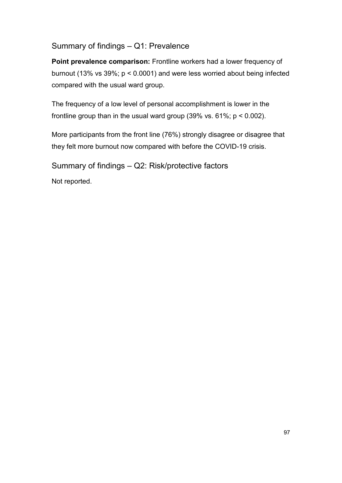#### Summary of findings – Q1: Prevalence

**Point prevalence comparison:** Frontline workers had a lower frequency of burnout (13% vs 39%; p < 0.0001) and were less worried about being infected compared with the usual ward group.

The frequency of a low level of personal accomplishment is lower in the frontline group than in the usual ward group  $(39\% \text{ vs. } 61\%; p < 0.002)$ .

More participants from the front line (76%) strongly disagree or disagree that they felt more burnout now compared with before the COVID-19 crisis.

Summary of findings – Q2: Risk/protective factors

Not reported.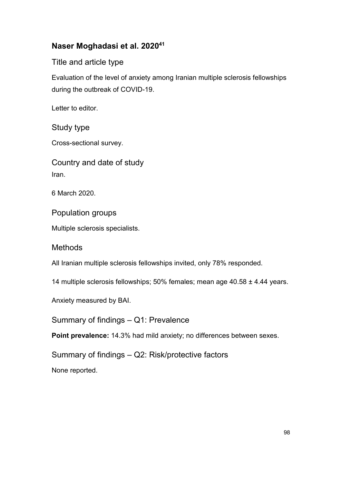## **Naser Moghadasi et al. 202041**

Title and article type

Evaluation of the level of anxiety among Iranian multiple sclerosis fellowships during the outbreak of COVID-19.

Letter to editor.

Study type

Cross-sectional survey.

Country and date of study Iran.

6 March 2020.

Population groups

Multiple sclerosis specialists.

Methods

All Iranian multiple sclerosis fellowships invited, only 78% responded.

14 multiple sclerosis fellowships; 50% females; mean age 40.58 ± 4.44 years.

Anxiety measured by BAI.

Summary of findings – Q1: Prevalence

**Point prevalence:** 14.3% had mild anxiety; no differences between sexes.

Summary of findings – Q2: Risk/protective factors

None reported.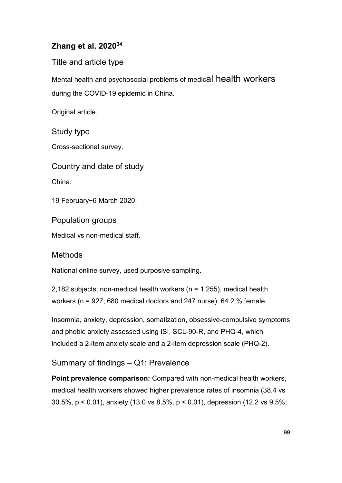# **Zhang et al. 202034**

Title and article type

Mental health and psychosocial problems of medical health workers during the COVID-19 epidemic in China.

Original article.

Study type

Cross-sectional survey.

Country and date of study

China.

19 February−6 March 2020.

Population groups

Medical vs non-medical staff.

#### **Methods**

National online survey, used purposive sampling.

2,182 subjects; non-medical health workers ( $n = 1,255$ ), medical health workers (n = 927; 680 medical doctors and 247 nurse); 64.2 % female.

Insomnia, anxiety, depression, somatization, obsessive-compulsive symptoms and phobic anxiety assessed using ISI, SCL-90-R, and PHQ-4, which included a 2-item anxiety scale and a 2-item depression scale (PHQ-2).

## Summary of findings – Q1: Prevalence

**Point prevalence comparison:** Compared with non-medical health workers, medical health workers showed higher prevalence rates of insomnia (38.4 vs 30.5%, p < 0.01), anxiety (13.0 vs 8.5%, p < 0.01), depression (12.2 vs 9.5%;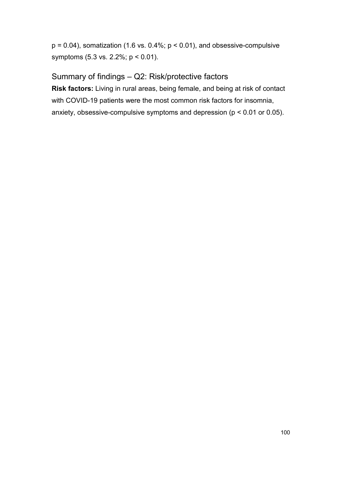$p = 0.04$ ), somatization (1.6 vs. 0.4%;  $p < 0.01$ ), and obsessive-compulsive symptoms (5.3 vs. 2.2%; p < 0.01).

Summary of findings – Q2: Risk/protective factors

**Risk factors:** Living in rural areas, being female, and being at risk of contact with COVID-19 patients were the most common risk factors for insomnia, anxiety, obsessive-compulsive symptoms and depression (p < 0.01 or 0.05).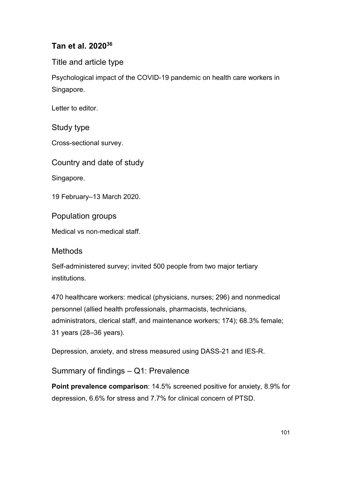## **Tan et al. 202036**

Title and article type

Psychological impact of the COVID-19 pandemic on health care workers in Singapore.

Letter to editor.

Study type

Cross-sectional survey.

Country and date of study

Singapore.

19 February–13 March 2020.

Population groups

Medical vs non-medical staff.

#### **Methods**

Self-administered survey; invited 500 people from two major tertiary institutions.

470 healthcare workers: medical (physicians, nurses; 296) and nonmedical personnel (allied health professionals, pharmacists, technicians, administrators, clerical staff, and maintenance workers; 174); 68.3% female; 31 years (28–36 years).

Depression, anxiety, and stress measured using DASS-21 and IES-R.

Summary of findings – Q1: Prevalence

**Point prevalence comparison**: 14.5% screened positive for anxiety, 8.9% for depression, 6.6% for stress and 7.7% for clinical concern of PTSD.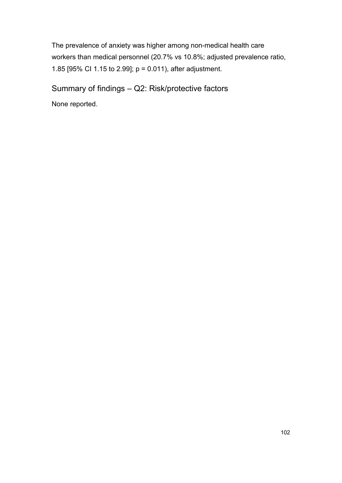The prevalence of anxiety was higher among non-medical health care workers than medical personnel (20.7% vs 10.8%; adjusted prevalence ratio, 1.85 [95% CI 1.15 to 2.99]; p = 0.011), after adjustment.

Summary of findings – Q2: Risk/protective factors

None reported.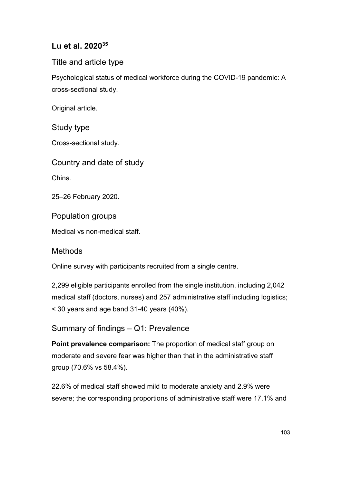## **Lu et al. 202035**

#### Title and article type

Psychological status of medical workforce during the COVID-19 pandemic: A cross-sectional study.

Original article.

Study type

Cross-sectional study.

Country and date of study

China.

25–26 February 2020.

Population groups

Medical vs non-medical staff.

#### **Methods**

Online survey with participants recruited from a single centre.

2,299 eligible participants enrolled from the single institution, including 2,042 medical staff (doctors, nurses) and 257 administrative staff including logistics; < 30 years and age band 31-40 years (40%).

Summary of findings – Q1: Prevalence

**Point prevalence comparison:** The proportion of medical staff group on moderate and severe fear was higher than that in the administrative staff group (70.6% vs 58.4%).

22.6% of medical staff showed mild to moderate anxiety and 2.9% were severe; the corresponding proportions of administrative staff were 17.1% and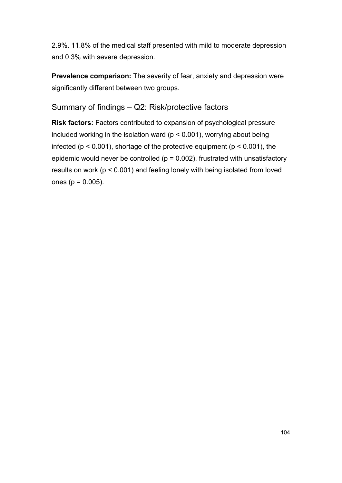2.9%. 11.8% of the medical staff presented with mild to moderate depression and 0.3% with severe depression.

**Prevalence comparison:** The severity of fear, anxiety and depression were significantly different between two groups.

Summary of findings – Q2: Risk/protective factors

**Risk factors:** Factors contributed to expansion of psychological pressure included working in the isolation ward ( $p < 0.001$ ), worrying about being infected ( $p < 0.001$ ), shortage of the protective equipment ( $p < 0.001$ ), the epidemic would never be controlled ( $p = 0.002$ ), frustrated with unsatisfactory results on work (p < 0.001) and feeling lonely with being isolated from loved ones ( $p = 0.005$ ).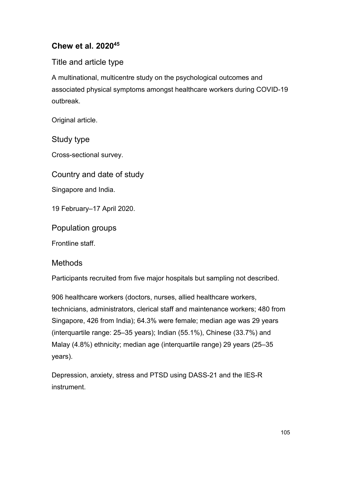## **Chew et al. 202045**

## Title and article type

A multinational, multicentre study on the psychological outcomes and associated physical symptoms amongst healthcare workers during COVID-19 outbreak.

Original article.

Study type

Cross-sectional survey.

Country and date of study

Singapore and India.

19 February–17 April 2020.

Population groups

Frontline staff.

#### Methods

Participants recruited from five major hospitals but sampling not described.

906 healthcare workers (doctors, nurses, allied healthcare workers, technicians, administrators, clerical staff and maintenance workers; 480 from Singapore, 426 from India); 64.3% were female; median age was 29 years (interquartile range: 25–35 years); Indian (55.1%), Chinese (33.7%) and Malay (4.8%) ethnicity; median age (interquartile range) 29 years (25–35 years).

Depression, anxiety, stress and PTSD using DASS-21 and the IES-R instrument.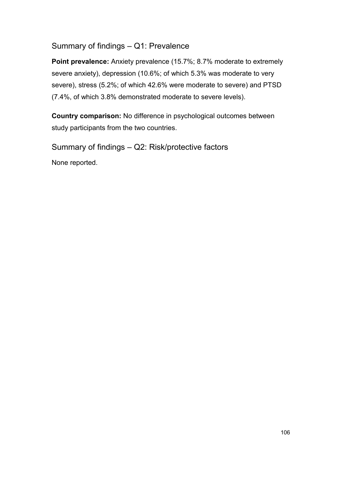#### Summary of findings – Q1: Prevalence

**Point prevalence:** Anxiety prevalence (15.7%; 8.7% moderate to extremely severe anxiety), depression (10.6%; of which 5.3% was moderate to very severe), stress (5.2%; of which 42.6% were moderate to severe) and PTSD (7.4%, of which 3.8% demonstrated moderate to severe levels).

**Country comparison:** No difference in psychological outcomes between study participants from the two countries.

Summary of findings – Q2: Risk/protective factors

None reported.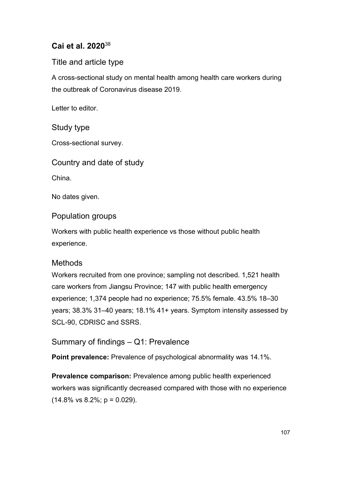### **Cai et al. 2020**<sup>38</sup>

Title and article type

A cross-sectional study on mental health among health care workers during the outbreak of Coronavirus disease 2019.

Letter to editor.

Study type

Cross-sectional survey.

Country and date of study

China.

No dates given.

Population groups

Workers with public health experience vs those without public health experience.

#### Methods

Workers recruited from one province; sampling not described. 1,521 health care workers from Jiangsu Province; 147 with public health emergency experience; 1,374 people had no experience; 75.5% female. 43.5% 18–30 years; 38.3% 31–40 years; 18.1% 41+ years. Symptom intensity assessed by SCL-90, CDRISC and SSRS.

Summary of findings – Q1: Prevalence

**Point prevalence:** Prevalence of psychological abnormality was 14.1%.

**Prevalence comparison:** Prevalence among public health experienced workers was significantly decreased compared with those with no experience  $(14.8\% \text{ vs } 8.2\%; \text{ p} = 0.029).$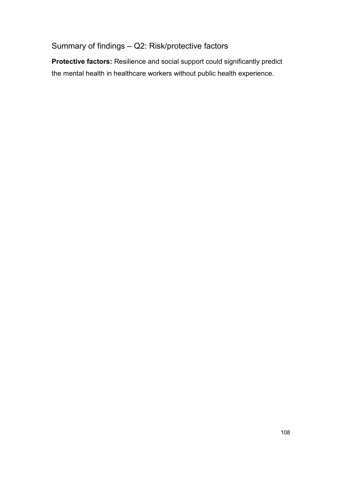# Summary of findings – Q2: Risk/protective factors

**Protective factors:** Resilience and social support could significantly predict the mental health in healthcare workers without public health experience.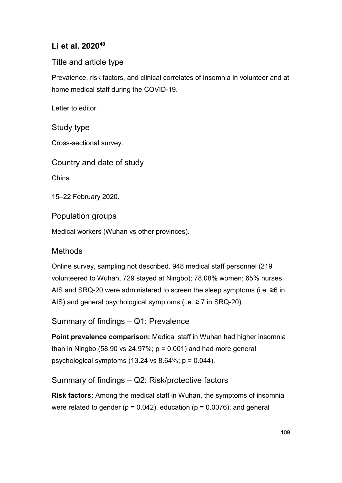### **Li et al. 202040**

#### Title and article type

Prevalence, risk factors, and clinical correlates of insomnia in volunteer and at home medical staff during the COVID-19.

Letter to editor.

#### Study type

Cross-sectional survey.

Country and date of study

China.

15–22 February 2020.

Population groups

Medical workers (Wuhan vs other provinces).

### **Methods**

Online survey, sampling not described. 948 medical staff personnel (219 volunteered to Wuhan, 729 stayed at Ningbo); 78.08% women; 65% nurses. AIS and SRQ-20 were administered to screen the sleep symptoms (i.e. ≥6 in AIS) and general psychological symptoms (i.e. ≥ 7 in SRQ-20).

Summary of findings – Q1: Prevalence

**Point prevalence comparison:** Medical staff in Wuhan had higher insomnia than in Ningbo (58.90 vs 24.97%;  $p = 0.001$ ) and had more general psychological symptoms  $(13.24 \text{ vs } 8.64\%; p = 0.044)$ .

### Summary of findings – Q2: Risk/protective factors

**Risk factors:** Among the medical staff in Wuhan, the symptoms of insomnia were related to gender ( $p = 0.042$ ), education ( $p = 0.0076$ ), and general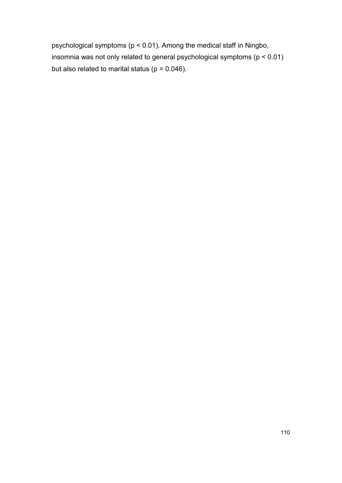psychological symptoms (p < 0.01). Among the medical staff in Ningbo, insomnia was not only related to general psychological symptoms (p < 0.01) but also related to marital status ( $p = 0.046$ ).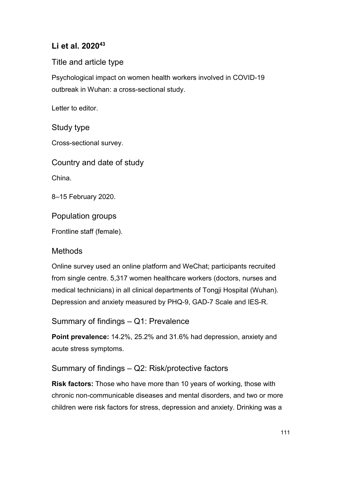### **Li et al. 202043**

#### Title and article type

Psychological impact on women health workers involved in COVID-19 outbreak in Wuhan: a cross-sectional study.

Letter to editor.

#### Study type

Cross-sectional survey.

Country and date of study

China.

8–15 February 2020.

Population groups

Frontline staff (female).

### **Methods**

Online survey used an online platform and WeChat; participants recruited from single centre. 5,317 women healthcare workers (doctors, nurses and medical technicians) in all clinical departments of Tongji Hospital (Wuhan). Depression and anxiety measured by PHQ-9, GAD-7 Scale and IES-R.

Summary of findings – Q1: Prevalence

**Point prevalence:** 14.2%, 25.2% and 31.6% had depression, anxiety and acute stress symptoms.

### Summary of findings – Q2: Risk/protective factors

**Risk factors:** Those who have more than 10 years of working, those with chronic non-communicable diseases and mental disorders, and two or more children were risk factors for stress, depression and anxiety. Drinking was a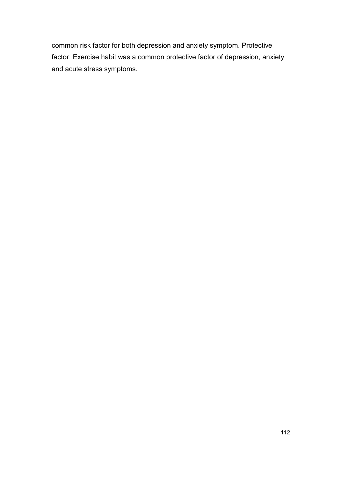common risk factor for both depression and anxiety symptom. Protective factor: Exercise habit was a common protective factor of depression, anxiety and acute stress symptoms.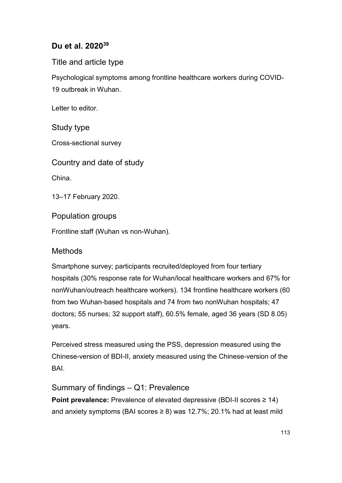### **Du et al. 202039**

Title and article type

Psychological symptoms among frontline healthcare workers during COVID-19 outbreak in Wuhan.

Letter to editor.

Study type

Cross-sectional survey

Country and date of study

China.

13–17 February 2020.

Population groups

Frontline staff (Wuhan vs non-Wuhan).

#### **Methods**

Smartphone survey; participants recruited/deployed from four tertiary hospitals (30% response rate for Wuhan/local healthcare workers and 67% for nonWuhan/outreach healthcare workers). 134 frontline healthcare workers (60 from two Wuhan-based hospitals and 74 from two nonWuhan hospitals; 47 doctors; 55 nurses; 32 support staff), 60.5% female, aged 36 years (SD 8.05) years.

Perceived stress measured using the PSS, depression measured using the Chinese-version of BDI-II, anxiety measured using the Chinese-version of the **BAI** 

Summary of findings – Q1: Prevalence **Point prevalence:** Prevalence of elevated depressive (BDI-II scores ≥ 14) and anxiety symptoms (BAI scores  $\geq$  8) was 12.7%; 20.1% had at least mild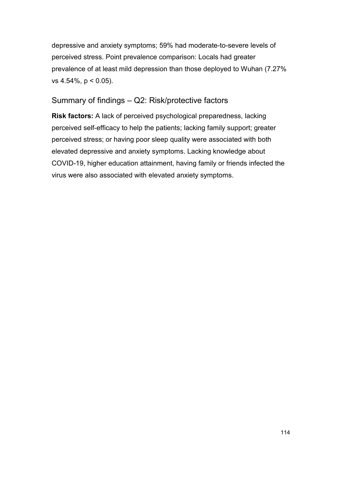depressive and anxiety symptoms; 59% had moderate-to-severe levels of perceived stress. Point prevalence comparison: Locals had greater prevalence of at least mild depression than those deployed to Wuhan (7.27% vs 4.54%, p < 0.05).

#### Summary of findings – Q2: Risk/protective factors

**Risk factors:** A lack of perceived psychological preparedness, lacking perceived self-efficacy to help the patients; lacking family support; greater perceived stress; or having poor sleep quality were associated with both elevated depressive and anxiety symptoms. Lacking knowledge about COVID-19, higher education attainment, having family or friends infected the virus were also associated with elevated anxiety symptoms.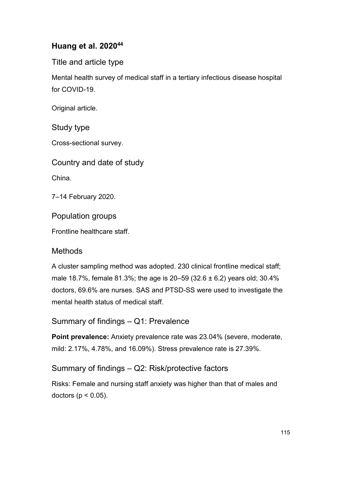### **Huang et al. 202044**

Title and article type

Mental health survey of medical staff in a tertiary infectious disease hospital for COVID-19.

Original article.

Study type

Cross-sectional survey.

Country and date of study

China.

7–14 February 2020.

Population groups

Frontline healthcare staff.

#### **Methods**

A cluster sampling method was adopted. 230 clinical frontline medical staff; male 18.7%, female 81.3%; the age is 20–59 (32.6  $\pm$  6.2) years old; 30.4% doctors, 69.6% are nurses. SAS and PTSD-SS were used to investigate the mental health status of medical staff.

Summary of findings – Q1: Prevalence

**Point prevalence:** Anxiety prevalence rate was 23.04% (severe, moderate, mild: 2.17%, 4.78%, and 16.09%). Stress prevalence rate is 27.39%.

#### Summary of findings – Q2: Risk/protective factors

Risks: Female and nursing staff anxiety was higher than that of males and doctors ( $p < 0.05$ ).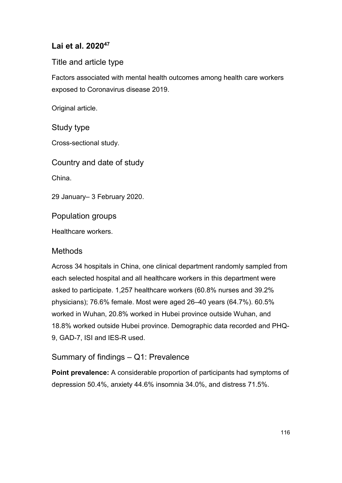### **Lai et al. 202047**

### Title and article type

Factors associated with mental health outcomes among health care workers exposed to Coronavirus disease 2019.

Original article.

#### Study type

Cross-sectional study.

Country and date of study

China.

29 January– 3 February 2020.

Population groups

Healthcare workers.

#### **Methods**

Across 34 hospitals in China, one clinical department randomly sampled from each selected hospital and all healthcare workers in this department were asked to participate. 1,257 healthcare workers (60.8% nurses and 39.2% physicians); 76.6% female. Most were aged 26–40 years (64.7%). 60.5% worked in Wuhan, 20.8% worked in Hubei province outside Wuhan, and 18.8% worked outside Hubei province. Demographic data recorded and PHQ-9, GAD-7, ISI and IES-R used.

### Summary of findings – Q1: Prevalence

**Point prevalence:** A considerable proportion of participants had symptoms of depression 50.4%, anxiety 44.6% insomnia 34.0%, and distress 71.5%.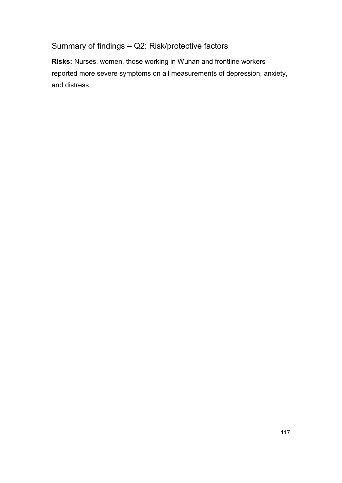# Summary of findings – Q2: Risk/protective factors

**Risks:** Nurses, women, those working in Wuhan and frontline workers reported more severe symptoms on all measurements of depression, anxiety, and distress.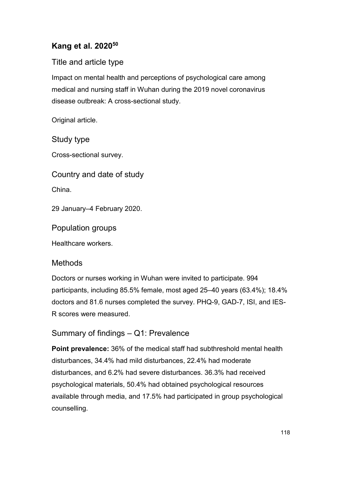### **Kang et al. 202050**

### Title and article type

Impact on mental health and perceptions of psychological care among medical and nursing staff in Wuhan during the 2019 novel coronavirus disease outbreak: A cross-sectional study.

Original article.

Study type

Cross-sectional survey.

Country and date of study

China.

29 January–4 February 2020.

Population groups

Healthcare workers.

#### **Methods**

Doctors or nurses working in Wuhan were invited to participate. 994 participants, including 85.5% female, most aged 25–40 years (63.4%); 18.4% doctors and 81.6 nurses completed the survey. PHQ-9, GAD-7, ISI, and IES-R scores were measured.

### Summary of findings – Q1: Prevalence

**Point prevalence:** 36% of the medical staff had subthreshold mental health disturbances, 34.4% had mild disturbances, 22.4% had moderate disturbances, and 6.2% had severe disturbances. 36.3% had received psychological materials, 50.4% had obtained psychological resources available through media, and 17.5% had participated in group psychological counselling.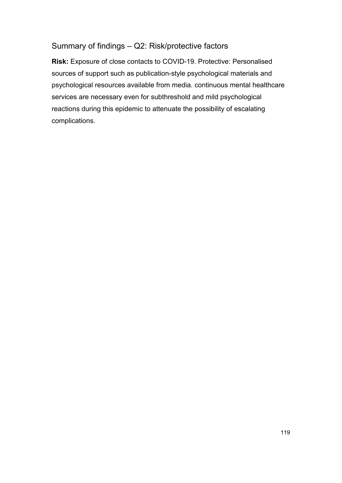#### Summary of findings – Q2: Risk/protective factors

**Risk:** Exposure of close contacts to COVID-19. Protective: Personalised sources of support such as publication-style psychological materials and psychological resources available from media. continuous mental healthcare services are necessary even for subthreshold and mild psychological reactions during this epidemic to attenuate the possibility of escalating complications.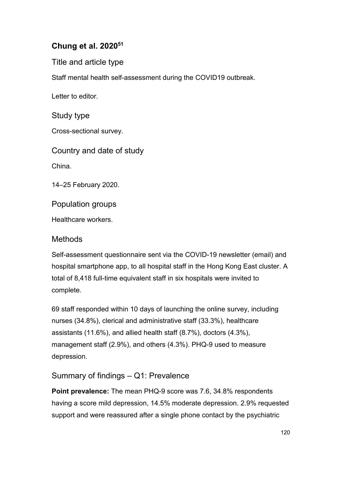### **Chung et al. 202051**

Title and article type

Staff mental health self-assessment during the COVID19 outbreak.

Letter to editor.

Study type

Cross-sectional survey.

Country and date of study

China.

14–25 February 2020.

Population groups

Healthcare workers.

#### Methods

Self-assessment questionnaire sent via the COVID-19 newsletter (email) and hospital smartphone app, to all hospital staff in the Hong Kong East cluster. A total of 8,418 full-time equivalent staff in six hospitals were invited to complete.

69 staff responded within 10 days of launching the online survey, including nurses (34.8%), clerical and administrative staff (33.3%), healthcare assistants (11.6%), and allied health staff (8.7%), doctors (4.3%), management staff (2.9%), and others (4.3%). PHQ-9 used to measure depression.

### Summary of findings – Q1: Prevalence

**Point prevalence:** The mean PHQ-9 score was 7.6, 34.8% respondents having a score mild depression, 14.5% moderate depression. 2.9% requested support and were reassured after a single phone contact by the psychiatric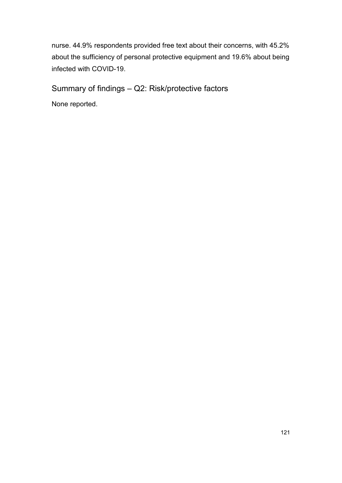nurse. 44.9% respondents provided free text about their concerns, with 45.2% about the sufficiency of personal protective equipment and 19.6% about being infected with COVID-19.

Summary of findings – Q2: Risk/protective factors

None reported.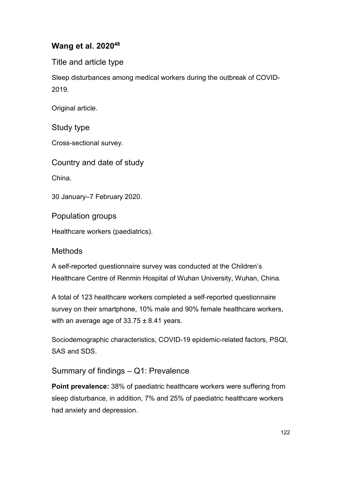### **Wang et al. 202048**

Title and article type

Sleep disturbances among medical workers during the outbreak of COVID-2019.

Original article.

Study type

Cross-sectional survey.

Country and date of study

China.

30 January–7 February 2020.

Population groups

Healthcare workers (paediatrics).

#### **Methods**

A self-reported questionnaire survey was conducted at the Children's Healthcare Centre of Renmin Hospital of Wuhan University, Wuhan, China.

A total of 123 healthcare workers completed a self-reported questionnaire survey on their smartphone, 10% male and 90% female healthcare workers, with an average age of  $33.75 \pm 8.41$  years.

Sociodemographic characteristics, COVID-19 epidemic-related factors, PSQI, SAS and SDS.

Summary of findings – Q1: Prevalence

**Point prevalence:** 38% of paediatric healthcare workers were suffering from sleep disturbance, in addition, 7% and 25% of paediatric healthcare workers had anxiety and depression.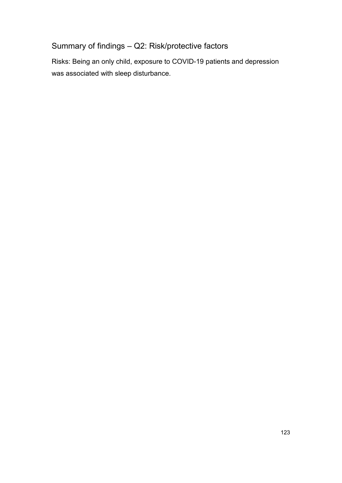# Summary of findings – Q2: Risk/protective factors

Risks: Being an only child, exposure to COVID-19 patients and depression was associated with sleep disturbance.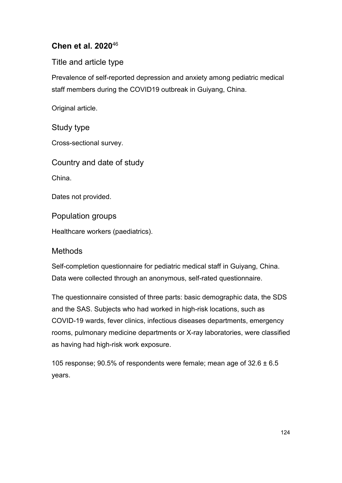### **Chen et al. 2020**<sup>46</sup>

Title and article type

Prevalence of self-reported depression and anxiety among pediatric medical staff members during the COVID19 outbreak in Guiyang, China.

Original article.

Study type

Cross-sectional survey.

Country and date of study

China.

Dates not provided.

Population groups

Healthcare workers (paediatrics).

### **Methods**

Self-completion questionnaire for pediatric medical staff in Guiyang, China. Data were collected through an anonymous, self-rated questionnaire.

The questionnaire consisted of three parts: basic demographic data, the SDS and the SAS. Subjects who had worked in high-risk locations, such as COVID-19 wards, fever clinics, infectious diseases departments, emergency rooms, pulmonary medicine departments or X-ray laboratories, were classified as having had high-risk work exposure.

105 response; 90.5% of respondents were female; mean age of  $32.6 \pm 6.5$ years.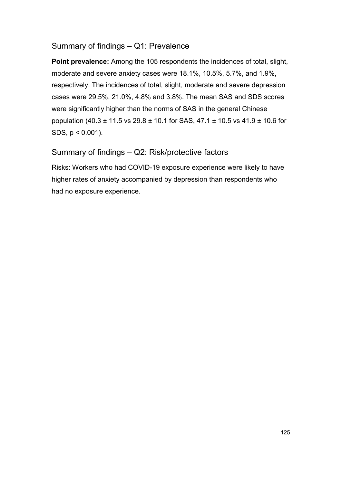#### Summary of findings – Q1: Prevalence

**Point prevalence:** Among the 105 respondents the incidences of total, slight, moderate and severe anxiety cases were 18.1%, 10.5%, 5.7%, and 1.9%, respectively. The incidences of total, slight, moderate and severe depression cases were 29.5%, 21.0%, 4.8% and 3.8%. The mean SAS and SDS scores were significantly higher than the norms of SAS in the general Chinese population (40.3 ± 11.5 vs 29.8 ± 10.1 for SAS, 47.1 ± 10.5 vs 41.9 ± 10.6 for SDS, p < 0.001).

### Summary of findings – Q2: Risk/protective factors

Risks: Workers who had COVID-19 exposure experience were likely to have higher rates of anxiety accompanied by depression than respondents who had no exposure experience.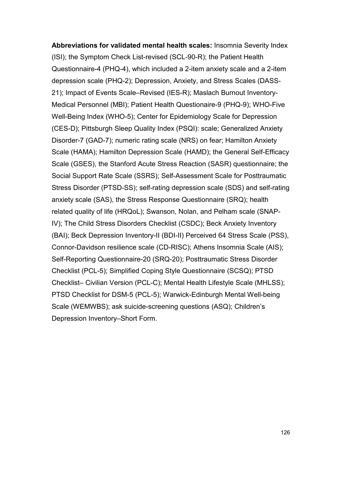**Abbreviations for validated mental health scales:** Insomnia Severity Index (ISI); the Symptom Check List-revised (SCL-90-R); the Patient Health Questionnaire-4 (PHQ-4), which included a 2-item anxiety scale and a 2-item depression scale (PHQ-2); Depression, Anxiety, and Stress Scales (DASS-21); Impact of Events Scale–Revised (IES-R); Maslach Burnout Inventory-Medical Personnel (MBI); Patient Health Questionaire-9 (PHQ-9); WHO-Five Well-Being Index (WHO-5); Center for Epidemiology Scale for Depression (CES-D); Pittsburgh Sleep Quality Index (PSQI): scale; Generalized Anxiety Disorder-7 (GAD-7); numeric rating scale (NRS) on fear; Hamilton Anxiety Scale (HAMA); Hamilton Depression Scale (HAMD); the General Self-Efficacy Scale (GSES), the Stanford Acute Stress Reaction (SASR) questionnaire; the Social Support Rate Scale (SSRS); Self-Assessment Scale for Posttraumatic Stress Disorder (PTSD-SS); self-rating depression scale (SDS) and self-rating anxiety scale (SAS), the Stress Response Questionnaire (SRQ); health related quality of life (HRQoL); Swanson, Nolan, and Pelham scale (SNAP-IV); The Child Stress Disorders Checklist (CSDC); Beck Anxiety Inventory (BAI); Beck Depression Inventory-II (BDI-II) Perceived 64 Stress Scale (PSS), Connor-Davidson resilience scale (CD-RISC); Athens Insomnia Scale (AIS); Self-Reporting Questionnaire-20 (SRQ-20); Posttraumatic Stress Disorder Checklist (PCL-5); Simplified Coping Style Questionnaire (SCSQ); PTSD Checklist– Civilian Version (PCL-C); Mental Health Lifestyle Scale (MHLSS); PTSD Checklist for DSM-5 (PCL-5); Warwick-Edinburgh Mental Well-being Scale (WEMWBS); ask suicide-screening questions (ASQ); Children's Depression Inventory–Short Form.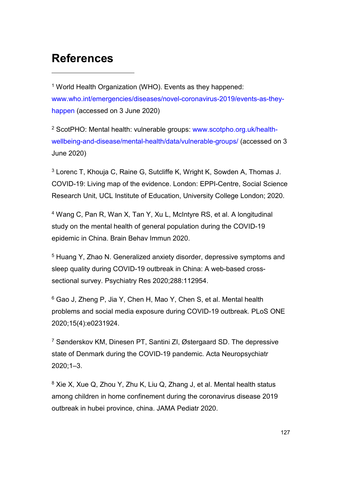# **References**

-

<sup>1</sup> World Health Organization (WHO). Events as they happened: [www.who.int/emergencies/diseases/novel-coronavirus-2019/events-as-they](http://www.who.int/emergencies/diseases/novel-coronavirus-2019/events-as-they-happen)[happen](http://www.who.int/emergencies/diseases/novel-coronavirus-2019/events-as-they-happen) (accessed on 3 June 2020)

<sup>2</sup> ScotPHO: Mental health: vulnerable groups: [www.scotpho.org.uk/health](https://www.scotpho.org.uk/health-wellbeing-and-disease/mental-health/data/vulnerable-groups/)[wellbeing-and-disease/mental-health/data/vulnerable-groups/](https://www.scotpho.org.uk/health-wellbeing-and-disease/mental-health/data/vulnerable-groups/) (accessed on 3 June 2020)

<sup>3</sup> Lorenc T, Khouja C, Raine G, Sutcliffe K, Wright K, Sowden A, Thomas J. COVID-19: Living map of the evidence. London: EPPI-Centre, Social Science Research Unit, UCL Institute of Education, University College London; 2020.

<sup>4</sup> Wang C, Pan R, Wan X, Tan Y, Xu L, McIntyre RS, et al. A longitudinal study on the mental health of general population during the COVID-19 epidemic in China. Brain Behav Immun 2020.

<sup>5</sup> Huang Y, Zhao N. Generalized anxiety disorder, depressive symptoms and sleep quality during COVID-19 outbreak in China: A web-based crosssectional survey. Psychiatry Res 2020;288:112954.

<sup>6</sup> Gao J, Zheng P, Jia Y, Chen H, Mao Y, Chen S, et al. Mental health problems and social media exposure during COVID-19 outbreak. PLoS ONE 2020;15(4):e0231924.

<sup>7</sup> Sønderskov KM, Dinesen PT, Santini ZI, Østergaard SD. The depressive state of Denmark during the COVID-19 pandemic. Acta Neuropsychiatr 2020;1–3.

<sup>8</sup> Xie X, Xue Q, Zhou Y, Zhu K, Liu Q, Zhang J, et al. Mental health status among children in home confinement during the coronavirus disease 2019 outbreak in hubei province, china. JAMA Pediatr 2020.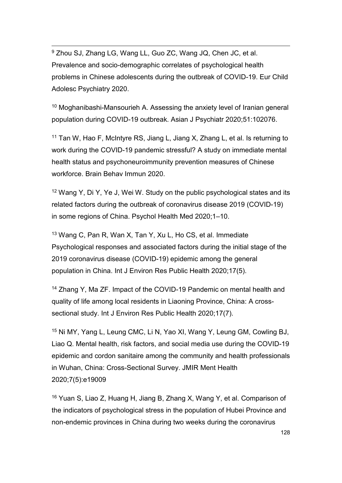<sup>9</sup> Zhou SJ, Zhang LG, Wang LL, Guo ZC, Wang JQ, Chen JC, et al. Prevalence and socio-demographic correlates of psychological health problems in Chinese adolescents during the outbreak of COVID-19. Eur Child Adolesc Psychiatry 2020.

<sup>10</sup> Moghanibashi-Mansourieh A. Assessing the anxiety level of Iranian general population during COVID-19 outbreak. Asian J Psychiatr 2020;51:102076.

<sup>11</sup> Tan W, Hao F, McIntyre RS, Jiang L, Jiang X, Zhang L, et al. Is returning to work during the COVID-19 pandemic stressful? A study on immediate mental health status and psychoneuroimmunity prevention measures of Chinese workforce. Brain Behav Immun 2020.

<sup>12</sup> Wang Y, Di Y, Ye J, Wei W. Study on the public psychological states and its related factors during the outbreak of coronavirus disease 2019 (COVID-19) in some regions of China. Psychol Health Med 2020;1–10.

<sup>13</sup> Wang C, Pan R, Wan X, Tan Y, Xu L, Ho CS, et al. Immediate Psychological responses and associated factors during the initial stage of the 2019 coronavirus disease (COVID-19) epidemic among the general population in China. Int J Environ Res Public Health 2020;17(5).

<sup>14</sup> Zhang Y, Ma ZF. Impact of the COVID-19 Pandemic on mental health and quality of life among local residents in Liaoning Province, China: A crosssectional study. Int J Environ Res Public Health 2020;17(7).

<sup>15</sup> Ni MY, Yang L, Leung CMC, Li N, Yao XI, Wang Y, Leung GM, Cowling BJ, Liao Q. Mental health, risk factors, and social media use during the COVID-19 epidemic and cordon sanitaire among the community and health professionals in Wuhan, China: Cross-Sectional Survey. JMIR Ment Health 2020;7(5):e19009

<sup>16</sup> Yuan S, Liao Z, Huang H, Jiang B, Zhang X, Wang Y, et al. Comparison of the indicators of psychological stress in the population of Hubei Province and non-endemic provinces in China during two weeks during the coronavirus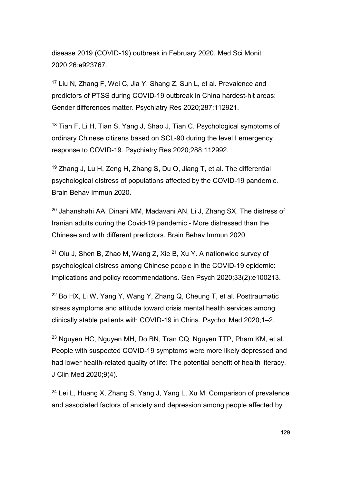disease 2019 (COVID-19) outbreak in February 2020. Med Sci Monit 2020;26:e923767.

<sup>17</sup> Liu N, Zhang F, Wei C, Jia Y, Shang Z, Sun L, et al. Prevalence and predictors of PTSS during COVID-19 outbreak in China hardest-hit areas: Gender differences matter. Psychiatry Res 2020;287:112921.

<sup>18</sup> Tian F, Li H, Tian S, Yang J, Shao J, Tian C. Psychological symptoms of ordinary Chinese citizens based on SCL-90 during the level I emergency response to COVID-19. Psychiatry Res 2020;288:112992.

<sup>19</sup> Zhang J, Lu H, Zeng H, Zhang S, Du Q, Jiang T, et al. The differential psychological distress of populations affected by the COVID-19 pandemic. Brain Behav Immun 2020.

<sup>20</sup> Jahanshahi AA, Dinani MM, Madavani AN, Li J, Zhang SX. The distress of Iranian adults during the Covid-19 pandemic - More distressed than the Chinese and with different predictors. Brain Behav Immun 2020.

 $21$  Qiu J, Shen B, Zhao M, Wang Z, Xie B, Xu Y. A nationwide survey of psychological distress among Chinese people in the COVID-19 epidemic: implications and policy recommendations. Gen Psych 2020;33(2):e100213.

<sup>22</sup> Bo HX, Li W, Yang Y, Wang Y, Zhang Q, Cheung T, et al. Posttraumatic stress symptoms and attitude toward crisis mental health services among clinically stable patients with COVID-19 in China. Psychol Med 2020;1–2.

<sup>23</sup> Nguyen HC, Nguyen MH, Do BN, Tran CQ, Nguyen TTP, Pham KM, et al. People with suspected COVID-19 symptoms were more likely depressed and had lower health-related quality of life: The potential benefit of health literacy. J Clin Med 2020;9(4).

<sup>24</sup> Lei L, Huang X, Zhang S, Yang J, Yang L, Xu M. Comparison of prevalence and associated factors of anxiety and depression among people affected by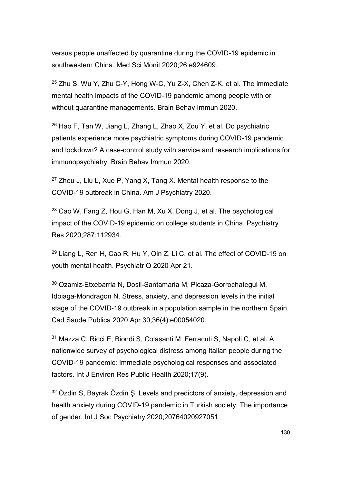versus people unaffected by quarantine during the COVID-19 epidemic in southwestern China. Med Sci Monit 2020;26:e924609.

<sup>25</sup> Zhu S, Wu Y, Zhu C-Y, Hong W-C, Yu Z-X, Chen Z-K, et al. The immediate mental health impacts of the COVID-19 pandemic among people with or without quarantine managements. Brain Behav Immun 2020.

<sup>26</sup> Hao F, Tan W, Jiang L, Zhang L, Zhao X, Zou Y, et al. Do psychiatric patients experience more psychiatric symptoms during COVID-19 pandemic and lockdown? A case-control study with service and research implications for immunopsychiatry. Brain Behav Immun 2020.

 $27$  Zhou J, Liu L, Xue P, Yang X, Tang X. Mental health response to the COVID-19 outbreak in China. Am J Psychiatry 2020.

<sup>28</sup> Cao W, Fang Z, Hou G, Han M, Xu X, Dong J, et al. The psychological impact of the COVID-19 epidemic on college students in China. Psychiatry Res 2020;287:112934.

<sup>29</sup> Liang L, Ren H, Cao R, Hu Y, Qin Z, Li C, et al. The effect of COVID-19 on youth mental health. Psychiatr Q 2020 Apr 21.

<sup>30</sup> Ozamiz-Etxebarria N, Dosil-Santamaria M, Picaza-Gorrochategui M, Idoiaga-Mondragon N. Stress, anxiety, and depression levels in the initial stage of the COVID-19 outbreak in a population sample in the northern Spain. Cad Saude Publica 2020 Apr 30;36(4):e00054020.

<sup>31</sup> Mazza C, Ricci E, Biondi S, Colasanti M, Ferracuti S, Napoli C, et al. A nationwide survey of psychological distress among Italian people during the COVID-19 pandemic: Immediate psychological responses and associated factors. Int J Environ Res Public Health 2020;17(9).

<sup>32</sup> Özdin S, Bayrak Özdin S. Levels and predictors of anxiety, depression and health anxiety during COVID-19 pandemic in Turkish society: The importance of gender. Int J Soc Psychiatry 2020;20764020927051.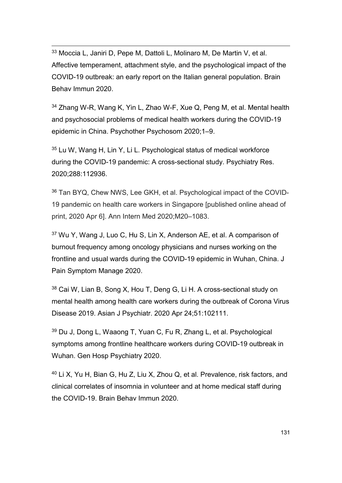33 Moccia L, Janiri D, Pepe M, Dattoli L, Molinaro M, De Martin V, et al. Affective temperament, attachment style, and the psychological impact of the COVID-19 outbreak: an early report on the Italian general population. Brain Behav Immun 2020.

<sup>34</sup> Zhang W-R, Wang K, Yin L, Zhao W-F, Xue Q, Peng M, et al. Mental health and psychosocial problems of medical health workers during the COVID-19 epidemic in China. Psychother Psychosom 2020;1–9.

<sup>35</sup> Lu W, Wang H, Lin Y, Li L. Psychological status of medical workforce during the COVID-19 pandemic: A cross-sectional study. Psychiatry Res. 2020;288:112936.

<sup>36</sup> Tan BYQ, Chew NWS, Lee GKH, et al. Psychological impact of the COVID-19 pandemic on health care workers in Singapore [published online ahead of print, 2020 Apr 6]. Ann Intern Med 2020;M20–1083.

<sup>37</sup> Wu Y, Wang J, Luo C, Hu S, Lin X, Anderson AE, et al. A comparison of burnout frequency among oncology physicians and nurses working on the frontline and usual wards during the COVID-19 epidemic in Wuhan, China. J Pain Symptom Manage 2020.

<sup>38</sup> Cai W, Lian B, Song X, Hou T, Deng G, Li H. A cross-sectional study on mental health among health care workers during the outbreak of Corona Virus Disease 2019. Asian J Psychiatr. 2020 Apr 24;51:102111.

<sup>39</sup> Du J, Dong L, Waaong T, Yuan C, Fu R, Zhang L, et al. Psychological symptoms among frontline healthcare workers during COVID-19 outbreak in Wuhan. Gen Hosp Psychiatry 2020.

<sup>40</sup> Li X, Yu H, Bian G, Hu Z, Liu X, Zhou Q, et al. Prevalence, risk factors, and clinical correlates of insomnia in volunteer and at home medical staff during the COVID-19. Brain Behav Immun 2020.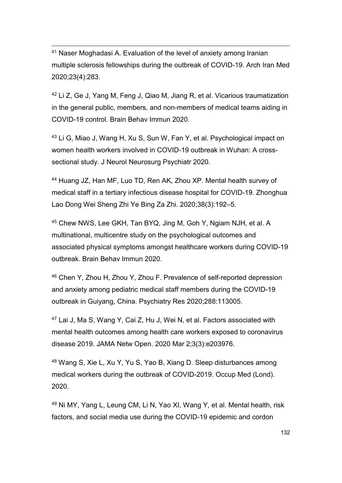41 Naser Moghadasi A. Evaluation of the level of anxiety among Iranian multiple sclerosis fellowships during the outbreak of COVID-19. Arch Iran Med 2020;23(4):283.

<sup>42</sup> Li Z, Ge J, Yang M, Feng J, Qiao M, Jiang R, et al. Vicarious traumatization in the general public, members, and non-members of medical teams aiding in COVID-19 control. Brain Behav Immun 2020.

<sup>43</sup> Li G, Miao J, Wang H, Xu S, Sun W, Fan Y, et al. Psychological impact on women health workers involved in COVID-19 outbreak in Wuhan: A crosssectional study. J Neurol Neurosurg Psychiatr 2020.

<sup>44</sup> Huang JZ, Han MF, Luo TD, Ren AK, Zhou XP. Mental health survey of medical staff in a tertiary infectious disease hospital for COVID-19. Zhonghua Lao Dong Wei Sheng Zhi Ye Bing Za Zhi. 2020;38(3):192–5.

<sup>45</sup> Chew NWS, Lee GKH, Tan BYQ, Jing M, Goh Y, Ngiam NJH, et al. A multinational, multicentre study on the psychological outcomes and associated physical symptoms amongst healthcare workers during COVID-19 outbreak. Brain Behav Immun 2020.

<sup>46</sup> Chen Y, Zhou H, Zhou Y, Zhou F. Prevalence of self-reported depression and anxiety among pediatric medical staff members during the COVID-19 outbreak in Guiyang, China. Psychiatry Res 2020;288:113005.

<sup>47</sup> Lai J, Ma S, Wang Y, Cai Z, Hu J, Wei N, et al. Factors associated with mental health outcomes among health care workers exposed to coronavirus disease 2019. JAMA Netw Open. 2020 Mar 2;3(3):e203976.

<sup>48</sup> Wang S, Xie L, Xu Y, Yu S, Yao B, Xiang D. Sleep disturbances among medical workers during the outbreak of COVID-2019. Occup Med (Lond). 2020.

<sup>49</sup> Ni MY, Yang L, Leung CM, Li N, Yao XI, Wang Y, et al. Mental health, risk factors, and social media use during the COVID-19 epidemic and cordon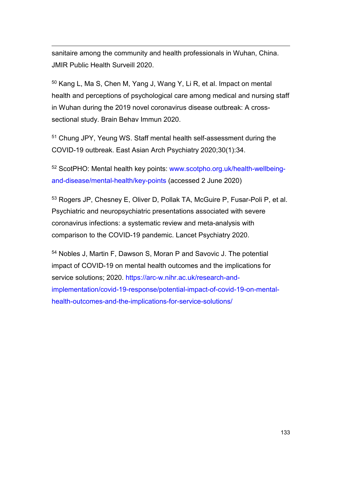sanitaire among the community and health professionals in Wuhan, China. JMIR Public Health Surveill 2020.

<sup>50</sup> Kang L, Ma S, Chen M, Yang J, Wang Y, Li R, et al. Impact on mental health and perceptions of psychological care among medical and nursing staff in Wuhan during the 2019 novel coronavirus disease outbreak: A crosssectional study. Brain Behav Immun 2020.

<sup>51</sup> Chung JPY, Yeung WS. Staff mental health self-assessment during the COVID-19 outbreak. East Asian Arch Psychiatry 2020;30(1):34.

<sup>52</sup> ScotPHO: Mental health key points: [www.scotpho.org.uk/health-wellbeing](http://www.scotpho.org.uk/health-wellbeing-and-disease/mental-health/key-points)[and-disease/mental-health/key-points](http://www.scotpho.org.uk/health-wellbeing-and-disease/mental-health/key-points) (accessed 2 June 2020)

<sup>53</sup> Rogers JP, Chesney E, Oliver D, Pollak TA, McGuire P, Fusar-Poli P, et al. Psychiatric and neuropsychiatric presentations associated with severe coronavirus infections: a systematic review and meta-analysis with comparison to the COVID-19 pandemic. Lancet Psychiatry 2020.

<sup>54</sup> Nobles J, Martin F, Dawson S, Moran P and Savovic J. The potential impact of COVID-19 on mental health outcomes and the implications for service solutions; 2020. [https://arc-w.nihr.ac.uk/research-and](https://arc-w.nihr.ac.uk/research-and-implementation/covid-19-response/potential-impact-of-covid-19-on-mental-health-outcomes-and-the-implications-for-service-solutions/)[implementation/covid-19-response/potential-impact-of-covid-19-on-mental](https://arc-w.nihr.ac.uk/research-and-implementation/covid-19-response/potential-impact-of-covid-19-on-mental-health-outcomes-and-the-implications-for-service-solutions/)[health-outcomes-and-the-implications-for-service-solutions/](https://arc-w.nihr.ac.uk/research-and-implementation/covid-19-response/potential-impact-of-covid-19-on-mental-health-outcomes-and-the-implications-for-service-solutions/)